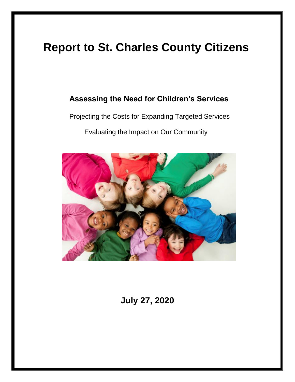# **Report to St. Charles County Citizens**

### **Assessing the Need for Children's Services**

Projecting the Costs for Expanding Targeted Services

Evaluating the Impact on Our Community



**July 27, 2020**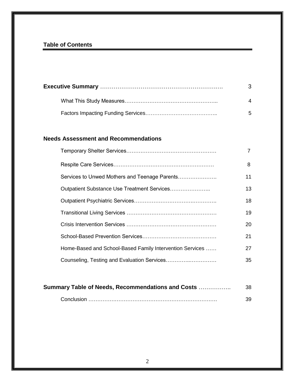### **Table of Contents**

| $\Delta$ |
|----------|
| 5        |

### **Needs Assessment and Recommendations**

|                                                          | 7  |
|----------------------------------------------------------|----|
|                                                          | 8  |
| Services to Unwed Mothers and Teenage Parents            | 11 |
| Outpatient Substance Use Treatment Services              | 13 |
|                                                          | 18 |
|                                                          | 19 |
|                                                          | 20 |
|                                                          | 21 |
| Home-Based and School-Based Family Intervention Services | 27 |
| Counseling, Testing and Evaluation Services              | 35 |

| Summary Table of Needs, Recommendations and Costs<br>-38 |    |  |  |  |
|----------------------------------------------------------|----|--|--|--|
|                                                          | 39 |  |  |  |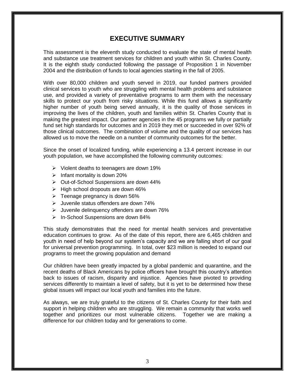### **EXECUTIVE SUMMARY**

This assessment is the eleventh study conducted to evaluate the state of mental health and substance use treatment services for children and youth within St. Charles County. It is the eighth study conducted following the passage of Proposition 1 in November 2004 and the distribution of funds to local agencies starting in the fall of 2005.

With over 80,000 children and youth served in 2019, our funded partners provided clinical services to youth who are struggling with mental health problems and substance use, and provided a variety of preventative programs to arm them with the necessary skills to protect our youth from risky situations. While this fund allows a significantly higher number of youth being served annually, it is the quality of those services in improving the lives of the children, youth and families within St. Charles County that is making the greatest impact. Our partner agencies in the 45 programs we fully or partially fund set high standards for outcomes and in 2019 they met or succeeded in over 92% of those clinical outcomes. The combination of volume and the quality of our services has allowed us to move the needle on a number of community outcomes for the better.

Since the onset of localized funding, while experiencing a 13.4 percent increase in our youth population, we have accomplished the following community outcomes:

- $\triangleright$  Violent deaths to teenagers are down 19%
- $\triangleright$  Infant mortality is down 20%
- Out-of-School Suspensions are down 44%
- $\triangleright$  High school dropouts are down 46%
- $\triangleright$  Teenage pregnancy is down 56%
- $\triangleright$  Juvenile status offenders are down 74%
- $\triangleright$  Juvenile delinquency offenders are down 76%
- $\triangleright$  In-School Suspensions are down 84%

This study demonstrates that the need for mental health services and preventative education continues to grow. As of the date of this report, there are 6,465 children and youth in need of help beyond our system's capacity and we are falling short of our goal for universal prevention programming. In total, over \$23 million is needed to expand our programs to meet the growing population and demand

Our children have been greatly impacted by a global pandemic and quarantine, and the recent deaths of Black Americans by police officers have brought this country's attention back to issues of racism, disparity and injustice. Agencies have pivoted to providing services differently to maintain a level of safety, but it is yet to be determined how these global issues will impact our local youth and families into the future.

As always, we are truly grateful to the citizens of St. Charles County for their faith and support in helping children who are struggling. We remain a community that works well together and prioritizes our most vulnerable citizens. Together we are making a difference for our children today and for generations to come.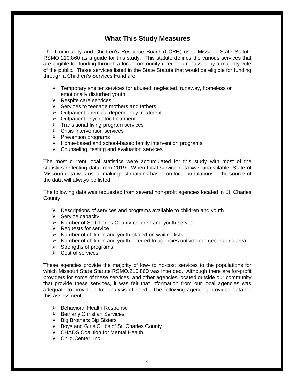### **What This Study Measures**

The Community and Children's Resource Board (CCRB) used Missouri State Statute RSMO.210.860 as a guide for this study. This statute defines the various services that are eligible for funding through a local community referendum passed by a majority vote of the public. Those services listed in the State Statute that would be eligible for funding through a Children's Services Fund are:

- $\triangleright$  Temporary shelter services for abused, neglected, runaway, homeless or emotionally disturbed youth
- $\triangleright$  Respite care services
- $\triangleright$  Services to teenage mothers and fathers
- $\triangleright$  Outpatient chemical dependency treatment
- $\triangleright$  Outpatient psychiatric treatment
- $\triangleright$  Transitional living program services
- $\triangleright$  Crisis intervention services
- $\triangleright$  Prevention programs
- $\triangleright$  Home-based and school-based family intervention programs
- $\triangleright$  Counseling, testing and evaluation services

The most current local statistics were accumulated for this study with most of the statistics reflecting data from 2019. When local service data was unavailable, State of Missouri data was used, making estimations based on local populations. The source of the data will always be listed.

The following data was requested from several non-profit agencies located in St. Charles County:

- $\triangleright$  Descriptions of services and programs available to children and youth
- $\triangleright$  Service capacity
- $\triangleright$  Number of St. Charles County children and youth served
- $\triangleright$  Requests for service
- $\triangleright$  Number of children and youth placed on waiting lists
- $\triangleright$  Number of children and youth referred to agencies outside our geographic area
- $\triangleright$  Strengths of programs
- Cost of services

These agencies provide the majority of low- to no-cost services to the populations for which Missouri State Statute RSMO.210.860 was intended. Although there are for-profit providers for some of these services, and other agencies located outside our community that provide these services, it was felt that information from our local agencies was adequate to provide a full analysis of need. The following agencies provided data for this assessment:

- $\triangleright$  Behavioral Health Response
- $\triangleright$  Bethany Christian Services
- $\triangleright$  Big Brothers Big Sisters
- ▶ Boys and Girls Clubs of St. Charles County
- **► CHADS Coalition for Mental Health**
- Child Center, Inc.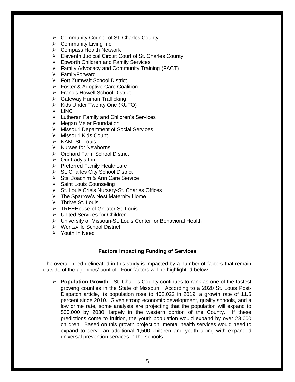- Community Council of St. Charles County
- $\triangleright$  Community Living Inc.
- $\triangleright$  Compass Health Network
- Eleventh Judicial Circuit Court of St. Charles County
- Epworth Children and Family Services
- Family Advocacy and Community Training (FACT)
- FamilyForward
- Fort Zumwalt School District
- Foster & Adoptive Care Coalition
- ▶ Francis Howell School District
- $\triangleright$  Gateway Human Trafficking
- $\triangleright$  Kids Under Twenty One (KUTO)
- $\triangleright$  LINC
- Lutheran Family and Children's Services
- $\triangleright$  Megan Meier Foundation
- Missouri Department of Social Services
- Missouri Kids Count
- $\triangleright$  NAMI St. Louis
- $\triangleright$  Nurses for Newborns
- ▶ Orchard Farm School District
- $\triangleright$  Our Lady's Inn
- $\triangleright$  Preferred Family Healthcare
- $\triangleright$  St. Charles City School District
- Sts. Joachim & Ann Care Service
- $\triangleright$  Saint Louis Counseling
- ▶ St. Louis Crisis Nursery-St. Charles Offices
- $\triangleright$  The Sparrow's Nest Maternity Home
- $\triangleright$  ThriVe St. Louis
- **► TREEHouse of Greater St. Louis**
- United Services for Children
- University of Missouri-St. Louis Center for Behavioral Health
- Wentzville School District
- Youth In Need

#### **Factors Impacting Funding of Services**

The overall need delineated in this study is impacted by a number of factors that remain outside of the agencies' control. Four factors will be highlighted below.

**Example 1 Population Growth---St.** Charles County continues to rank as one of the fastest growing counties in the State of Missouri. According to a 2020 St. Louis Post-Dispatch article, its population rose to 402,022 in 2019, a growth rate of 11.5 percent since 2010. Given strong economic development, quality schools, and a low crime rate, some analysts are projecting that the population will expand to 500,000 by 2030, largely in the western portion of the County. If these predictions come to fruition, the youth population would expand by over 23,000 children. Based on this growth projection, mental health services would need to expand to serve an additional 1,500 children and youth along with expanded universal prevention services in the schools.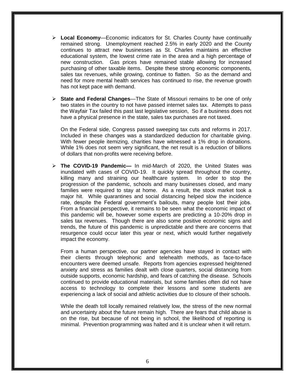- **Local Economy**—Economic indicators for St. Charles County have continually remained strong. Unemployment reached 2.5% in early 2020 and the County continues to attract new businesses as St. Charles maintains an effective educational system, the lowest crime rate in the area and a high percentage of new construction. Gas prices have remained stable allowing for increased purchasing of other taxable items. Despite these strong economic components, sales tax revenues, while growing, continue to flatten. So as the demand and need for more mental health services has continued to rise, the revenue growth has not kept pace with demand.
- **State and Federal Changes**—The State of Missouri remains to be one of only two states in the country to not have passed internet sales tax. Attempts to pass the Wayfair Tax failed this past last legislative session, So if a business does not have a physical presence in the state, sales tax purchases are not taxed.

On the Federal side, Congress passed sweeping tax cuts and reforms in 2017. Included in these changes was a standardized deduction for charitable giving. With fewer people itemizing, charities have witnessed a 1% drop in donations. While 1% does not seem very significant, the net result is a reduction of billions of dollars that non-profits were receiving before.

 **The COVID-19 Pandemic—** In mid-March of 2020, the United States was inundated with cases of COVID-19. It quickly spread throughout the country, killing many and straining our healthcare system. In order to stop the progression of the pandemic, schools and many businesses closed, and many families were required to stay at home. As a result, the stock market took a major hit. While quarantines and social distancing helped slow the incidence rate, despite the Federal government's bailouts, many people lost their jobs. From a financial perspective, it remains to be seen what the economic impact of this pandemic will be, however some experts are predicting a 10-20% drop in sales tax revenues. Though there are also some positive economic signs and trends, the future of this pandemic is unpredictable and there are concerns that resurgence could occur later this year or next, which would further negatively impact the economy.

From a human perspective, our partner agencies have stayed in contact with their clients through telephonic and telehealth methods, as face-to-face encounters were deemed unsafe. Reports from agencies expressed heightened anxiety and stress as families dealt with close quarters, social distancing from outside supports, economic hardship, and fears of catching the disease. Schools continued to provide educational materials, but some families often did not have access to technology to complete their lessons and some students are experiencing a lack of social and athletic activities due to closure of their schools.

While the death toll locally remained relatively low, the stress of the new normal and uncertainty about the future remain high. There are fears that child abuse is on the rise, but because of not being in school, the likelihood of reporting is minimal. Prevention programming was halted and it is unclear when it will return.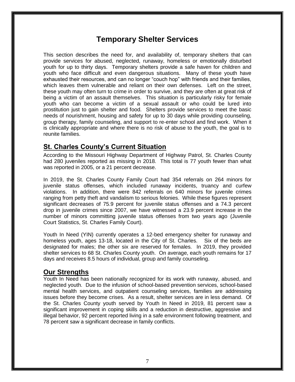### **Temporary Shelter Services**

This section describes the need for, and availability of, temporary shelters that can provide services for abused, neglected, runaway, homeless or emotionally disturbed youth for up to thirty days. Temporary shelters provide a safe haven for children and youth who face difficult and even dangerous situations. Many of these youth have exhausted their resources, and can no longer "couch hop" with friends and their families, which leaves them vulnerable and reliant on their own defenses. Left on the street, these youth may often turn to crime in order to survive, and they are often at great risk of being a victim of an assault themselves. This situation is particularly risky for female youth who can become a victim of a sexual assault or who could be lured into prostitution just to gain shelter and food. Shelters provide services to meet the basic needs of nourishment, housing and safety for up to 30 days while providing counseling, group therapy, family counseling, and support to re-enter school and find work. When it is clinically appropriate and where there is no risk of abuse to the youth, the goal is to reunite families.

### **St. Charles County's Current Situation**

According to the Missouri Highway Department of Highway Patrol, St. Charles County had 280 juveniles reported as missing in 2018. This total is 77 youth fewer than what was reported in 2005, or a 21 percent decrease.

In 2019, the St. Charles County Family Court had 354 referrals on 264 minors for juvenile status offenses, which included runaway incidents, truancy and curfew violations. In addition, there were 842 referrals on 640 minors for juvenile crimes ranging from petty theft and vandalism to serious felonies. While these figures represent significant decreases of 75.9 percent for juvenile status offenses and a 74.3 percent drop in juvenile crimes since 2007, we have witnessed a 23.9 percent increase in the number of minors committing juvenile status offenses from two years ago (Juvenile Court Statistics, St. Charles Family Court).

Youth In Need (YIN) currently operates a 12-bed emergency shelter for runaway and homeless youth, ages 13-18, located in the City of St. Charles. Six of the beds are designated for males; the other six are reserved for females. In 2019, they provided shelter services to 68 St. Charles County youth. On average, each youth remains for 17 days and receives 8.5 hours of individual, group and family counseling.

### **Our Strengths**

Youth In Need has been nationally recognized for its work with runaway, abused, and neglected youth. Due to the infusion of school-based prevention services, school-based mental health services, and outpatient counseling services, families are addressing issues before they become crises. As a result, shelter services are in less demand. Of the St. Charles County youth served by Youth In Need in 2019, 81 percent saw a significant improvement in coping skills and a reduction in destructive, aggressive and illegal behavior, 92 percent reported living in a safe environment following treatment, and 78 percent saw a significant decrease in family conflicts.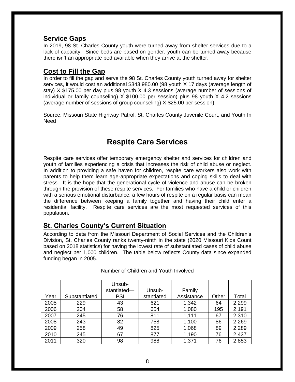#### **Service Gaps**

In 2019, 98 St. Charles County youth were turned away from shelter services due to a lack of capacity. Since beds are based on gender, youth can be turned away because there isn't an appropriate bed available when they arrive at the shelter.

### **Cost to Fill the Gap**

In order to fill the gap and serve the 98 St. Charles County youth turned away for shelter services, it would cost an additional \$343,980.00 (98 youth X 17 days (average length of stay) X \$175.00 per day plus 98 youth X 4.3 sessions (average number of sessions of individual or family counseling) X \$100.00 per session) plus 98 youth X 4.2 sessions (average number of sessions of group counseling) X \$25.00 per session).

Source: Missouri State Highway Patrol, St. Charles County Juvenile Court, and Youth In Need

### **Respite Care Services**

Respite care services offer temporary emergency shelter and services for children and youth of families experiencing a crisis that increases the risk of child abuse or neglect. In addition to providing a safe haven for children, respite care workers also work with parents to help them learn age-appropriate expectations and coping skills to deal with stress. It is the hope that the generational cycle of violence and abuse can be broken through the provision of these respite services. For families who have a child or children with a serious emotional disturbance, a few hours of respite on a regular basis can mean the difference between keeping a family together and having their child enter a residential facility. Respite care services are the most requested services of this population.

### **St. Charles County's Current Situation**

According to data from the Missouri Department of Social Services and the Children's Division, St. Charles County ranks twenty-ninth in the state (2020 Missouri Kids Count based on 2018 statistics) for having the lowest rate of substantiated cases of child abuse and neglect per 1,000 children. The table below reflects County data since expanded funding began in 2005.

|      |               | Unsub-<br>stantiated- | Unsub-     | Family     |       |       |
|------|---------------|-----------------------|------------|------------|-------|-------|
| Year | Substantiated | PSI                   | stantiated | Assistance | Other | Total |
| 2005 | 229           | 43                    | 621        | 1,342      | 64    | 2,299 |
| 2006 | 204           | 58                    | 654        | 1,080      | 195   | 2,191 |
| 2007 | 245           | 76                    | 811        | 1,111      | 67    | 2,310 |
| 2008 | 243           | 82                    | 758        | 1,100      | 86    | 2,269 |
| 2009 | 258           | 49                    | 825        | 1,068      | 89    | 2,289 |
| 2010 | 245           | 67                    | 877        | 1,190      | 76    | 2,437 |
| 2011 | 320           | 98                    | 988        | 1,371      | 76    | 2,853 |

#### Number of Children and Youth Involved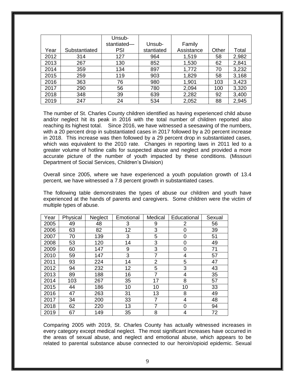|      |               | Unsub-      |            |            |       |       |
|------|---------------|-------------|------------|------------|-------|-------|
|      |               | stantiated- | Unsub-     | Family     |       |       |
| Year | Substantiated | <b>PSI</b>  | stantiated | Assistance | Other | Total |
| 2012 | 314           | 127         | 964        | 1,519      | 58    | 2,982 |
| 2013 | 267           | 130         | 852        | 1,530      | 62    | 2,841 |
| 2014 | 359           | 134         | 897        | 1,772      | 70    | 3,232 |
| 2015 | 259           | 119         | 903        | 1,829      | 58    | 3,168 |
| 2016 | 363           | 76          | 980        | 1,901      | 103   | 3,423 |
| 2017 | 290           | 56          | 780        | 2,094      | 100   | 3,320 |
| 2018 | 348           | 39          | 639        | 2,282      | 92    | 3,400 |
| 2019 | 247           | 24          | 534        | 2,052      | 88    | 2,945 |

The number of St. Charles County children identified as having experienced child abuse and/or neglect hit its peak in 2016 with the total number of children reported also reaching its highest total. Since 2016, we have witnessed a seesawing of the numbers, with a 20 percent drop in substantiated cases in 2017 followed by a 20 percent increase in 2018. This increase was then followed by a 29 percent drop in substantiated cases, which was equivalent to the 2010 rate. Changes in reporting laws in 2011 led to a greater volume of hotline calls for suspected abuse and neglect and provided a more accurate picture of the number of youth impacted by these conditions. (Missouri Department of Social Services, Children's Division)

Overall since 2005, where we have experienced a youth population growth of 13.4 percent, we have witnessed a 7.8 percent growth in substantiated cases.

The following table demonstrates the types of abuse our children and youth have experienced at the hands of parents and caregivers. Some children were the victim of multiple types of abuse.

| Year | Physical | Neglect | Emotional | Medical        | Educational | Sexual |
|------|----------|---------|-----------|----------------|-------------|--------|
| 2005 | 49       | 48      | 3         | 9              | 2           | 56     |
| 2006 | 63       | 82      | 12        | 3              | 0           | 39     |
| 2007 | 70       | 139     | 3         | 5              | 0           | 51     |
| 2008 | 53       | 120     | 14        | 3              | 0           | 49     |
| 2009 | 60       | 147     | 9         | 3              | 0           | 71     |
| 2010 | 59       | 147     | 3         | 7              | 4           | 57     |
| 2011 | 93       | 224     | 14        | $\overline{2}$ | 5           | 47     |
| 2012 | 94       | 232     | 12        | 5              | 3           | 43     |
| 2013 | 89       | 188     | 16        | 7              | 4           | 35     |
| 2014 | 103      | 267     | 35        | 17             | 8           | 57     |
| 2015 | 44       | 186     | 10        | 10             | 10          | 33     |
| 2016 | 47       | 263     | 31        | 13             | 8           | 49     |
| 2017 | 34       | 200     | 33        | 7              | 4           | 48     |
| 2018 | 62       | 220     | 13        | 7              | 0           | 94     |
| 2019 | 67       | 149     | 35        | 8              | 4           | 72     |

Comparing 2005 with 2019, St. Charles County has actually witnessed increases in every category except medical neglect. The most significant increases have occurred in the areas of sexual abuse, and neglect and emotional abuse, which appears to be related to parental substance abuse connected to our heroin/opioid epidemic. Sexual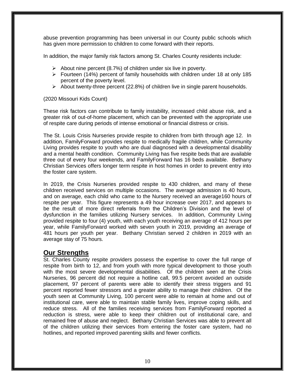abuse prevention programming has been universal in our County public schools which has given more permission to children to come forward with their reports.

In addition, the major family risk factors among St. Charles County residents include:

- $\triangleright$  About nine percent (8.7%) of children under six live in poverty.
- $\triangleright$  Fourteen (14%) percent of family households with children under 18 at only 185 percent of the poverty level.
- $\triangleright$  About twenty-three percent (22.8%) of children live in single parent households.

#### (2020 Missouri Kids Count)

These risk factors can contribute to family instability, increased child abuse risk, and a greater risk of out-of-home placement, which can be prevented with the appropriate use of respite care during periods of intense emotional or financial distress or crisis.

The St. Louis Crisis Nurseries provide respite to children from birth through age 12. In addition, FamilyForward provides respite to medically fragile children, while Community Living provides respite to youth who are dual diagnosed with a developmental disability and a mental health condition. Community Living has five respite beds that are available three out of every four weekends, and FamilyForward has 16 beds available. Bethany Christian Services offers longer term respite in host homes in order to prevent entry into the foster care system.

In 2019, the Crisis Nurseries provided respite to 430 children, and many of these children received services on multiple occasions. The average admission is 40 hours, and on average, each child who came to the Nursery received an average160 hours of respite per year. This figure represents a 49 hour increase over 2017, and appears to be the result of more direct referrals from the Children's Division and the level of dysfunction in the families utilizing Nursery services. In addition, Community Living provided respite to four (4) youth, with each youth receiving an average of 412 hours per year, while FamilyForward worked with seven youth in 2019, providing an average of 481 hours per youth per year. Bethany Christian served 2 children in 2019 with an average stay of 75 hours.

### **Our Strengths**

St. Charles County respite providers possess the expertise to cover the full range of respite from birth to 12, and from youth with more typical development to those youth with the most severe developmental disabilities. Of the children seen at the Crisis Nurseries, 96 percent did not require a hotline call, 99.5 percent avoided an outside placement, 97 percent of parents were able to identify their stress triggers and 91 percent reported fewer stressors and a greater ability to manage their children. Of the youth seen at Community Living, 100 percent were able to remain at home and out of institutional care, were able to maintain stable family lives, improve coping skills, and reduce stress. All of the families receiving services from FamilyForward reported a reduction is stress, were able to keep their children out of institutional care, and remained free of abuse and neglect. Bethany Christian Services was able to prevent all of the children utilizing their services from entering the foster care system, had no hotlines, and reported improved parenting skills and fewer conflicts.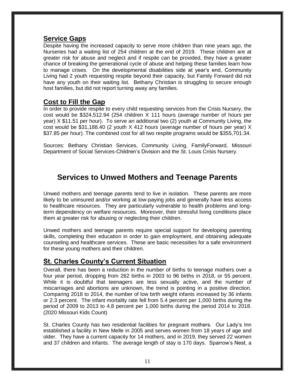#### **Service Gaps**

Despite having the increased capacity to serve more children than nine years ago, the Nurseries had a waiting list of 254 children at the end of 2019. These children are at greater risk for abuse and neglect and if respite can be provided, they have a greater chance of breaking the generational cycle of abuse and helping these families learn how to manage crises. On the developmental disabilities side at year's end, Community Living had 2 youth requesting respite beyond their capacity, but Family Forward did not have any youth on their waiting list. Bethany Christian is struggling to secure enough host families, but did not report turning away any families.

### **Cost to Fill the Gap**

In order to provide respite to every child requesting services from the Crisis Nursery, the cost would be \$324,512.94 (254 children X 111 hours (average number of hours per year) X \$11.51 per hour). To serve an additional two (2) youth at Community Living, the cost would be \$31,188.40 (2 youth X 412 hours (average number of hours per year) X \$37.85 per hour). The combined cost for all two respite programs would be \$355,701.34.

Sources: Bethany Christian Services, Community Living, FamilyForward, Missouri Department of Social Services-Children's Division and the St. Louis Crisis Nursery.

### **Services to Unwed Mothers and Teenage Parents**

Unwed mothers and teenage parents tend to live in isolation. These parents are more likely to be uninsured and/or working at low-paying jobs and generally have less access to healthcare resources. They are particularly vulnerable to health problems and longterm dependency on welfare resources. Moreover, their stressful living conditions place them at greater risk for abusing or neglecting their children.

Unwed mothers and teenage parents require special support for developing parenting skills, completing their education in order to gain employment, and obtaining adequate counseling and healthcare services. These are basic necessities for a safe environment for these young mothers and their children.

### **St. Charles County's Current Situation**

Overall, there has been a reduction in the number of births to teenage mothers over a four year period, dropping from 262 births in 2003 to 96 births in 2018, or 55 percent. While it is doubtful that teenagers are less sexually active, and the number of miscarriages and abortions are unknown, the trend is pointing in a positive direction. Comparing 2018 to 2014, the number of low birth weight infants increased by 36 infants or 2.3 percent. The infant mortality rate fell from 5.4 percent per 1,000 births during the period of 2009 to 2013 to 4.8 percent per 1,000 births during the period 2014 to 2018. (2020 Missouri Kids Count)

St. Charles County has two residential facilities for pregnant mothers. Our Lady's Inn established a facility in New Melle in 2005 and serves women from 18 years of age and older. They have a current capacity for 14 mothers, and in 2019, they served 22 women and 37 children and infants. The average length of stay is 170 days. Sparrow's Nest, a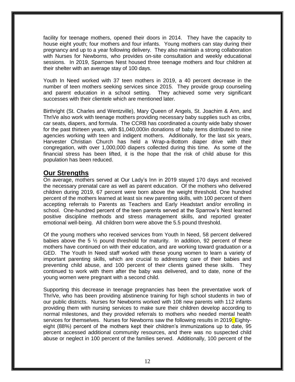facility for teenage mothers, opened their doors in 2014. They have the capacity to house eight youth; four mothers and four infants. Young mothers can stay during their pregnancy and up to a year following delivery. They also maintain a strong collaboration with Nurses for Newborns, who provides on-site consultation and weekly educational sessions. In 2019, Sparrows Nest housed three teenage mothers and four children at their shelter with an average stay of 100 days.

Youth In Need worked with 37 teen mothers in 2019, a 40 percent decrease in the number of teen mothers seeking services since 2015. They provide group counseling and parent education in a school setting. They achieved some very significant successes with their clientele which are mentioned later.

Birthright (St. Charles and Wentzville), Mary Queen of Angels, St. Joachim & Ann, and ThriVe also work with teenage mothers providing necessary baby supplies such as cribs, car seats, diapers, and formula. The CCRB has coordinated a county wide baby shower for the past thirteen years, with \$1,040,000in donations of baby items distributed to nine agencies working with teen and indigent mothers. Additionally, for the last six years, Harvester Christian Church has held a Wrap-a-Bottom diaper drive with their congregation, with over 1,000,000 diapers collected during this time. As some of the financial stress has been lifted, it is the hope that the risk of child abuse for this population has been reduced.

### **Our Strengths**

On average, mothers served at Our Lady's Inn in 2019 stayed 170 days and received the necessary prenatal care as well as parent education. Of the mothers who delivered children during 2019, 67 percent were born above the weight threshold. One hundred percent of the mothers learned at least six new parenting skills, with 100 percent of them accepting referrals to Parents as Teachers and Early Headstart and/or enrolling in school. One-hundred percent of the teen parents served at the Sparrow's Nest learned positive discipline methods and stress management skills, and reported greater emotional well-being. All children born were above the 5.5 pound threshold.

Of the young mothers who received services from Youth In Need, 58 percent delivered babies above the 5  $\frac{1}{2}$  pound threshold for maturity. In addition, 92 percent of these mothers have continued on with their education, and are working toward graduation or a GED. The Youth In Need staff worked with these young women to learn a variety of important parenting skills, which are crucial to addressing care of their babies and preventing child abuse, and 100 percent of their clients gained these skills. They continued to work with them after the baby was delivered, and to date, none of the young women were pregnant with a second child.

Supporting this decrease in teenage pregnancies has been the preventative work of ThriVe, who has been providing abstinence training for high school students in two of our public districts. Nurses for Newborns worked with 108 new parents with 112 infants providing them with nursing services to make sure their children develop according to normal milestones, and they provided referrals to mothers who needed mental health services for themselves. Nurses for Newborns saw the following results in 2019<mark>:</mark> Eightyeight (88%) percent of the mothers kept their children's immunizations up to date, 95 percent accessed additional community resources, and there was no suspected child abuse or neglect in 100 percent of the families served. Additionally, 100 percent of the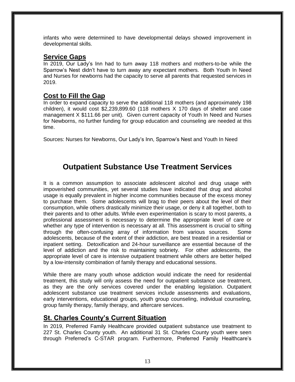infants who were determined to have developmental delays showed improvement in developmental skills.

### **Service Gaps**

In 2019, Our Lady's Inn had to turn away 118 mothers and mothers-to-be while the Sparrow's Nest didn't have to turn away any expectant mothers. Both Youth In Need and Nurses for newborns had the capacity to serve all parents that requested services in 2019.

### **Cost to Fill the Gap**

In order to expand capacity to serve the additional 118 mothers (and approximately 198 children), it would cost \$2,239,899.60 (118 mothers X 170 days of shelter and case management X \$111.66 per unit). Given current capacity of Youth In Need and Nurses for Newborns, no further funding for group education and counseling are needed at this time.

Sources: Nurses for Newborns, Our Lady's Inn, Sparrow's Nest and Youth In Need

## **Outpatient Substance Use Treatment Services**

It is a common assumption to associate adolescent alcohol and drug usage with impoverished communities, yet several studies have indicated that drug and alcohol usage is equally prevalent in higher income communities because of the excess money to purchase them. Some adolescents will brag to their peers about the level of their consumption, while others drastically minimize their usage, or deny it all together, both to their parents and to other adults. While even experimentation is scary to most parents, a professional assessment is necessary to determine the appropriate level of care or whether any type of intervention is necessary at all. This assessment is crucial to sifting through the often-confusing array of information from various sources. Some adolescents, because of the extent of their addiction, are best treated in a residential or inpatient setting. Detoxification and 24-hour surveillance are essential because of the level of addiction and the risk to maintaining sobriety. For other adolescents, the appropriate level of care is intensive outpatient treatment while others are better helped by a low-intensity combination of family therapy and educational sessions.

While there are many youth whose addiction would indicate the need for residential treatment, this study will only assess the need for outpatient substance use treatment, as they are the only services covered under the enabling legislation. Outpatient adolescent substance use treatment services include assessments and evaluations, early interventions, educational groups, youth group counseling, individual counseling, group family therapy, family therapy, and aftercare services.

### **St. Charles County's Current Situation**

In 2019, Preferred Family Healthcare provided outpatient substance use treatment to 227 St. Charles County youth. An additional 31 St. Charles County youth were seen through Preferred's C-STAR program. Furthermore, Preferred Family Healthcare's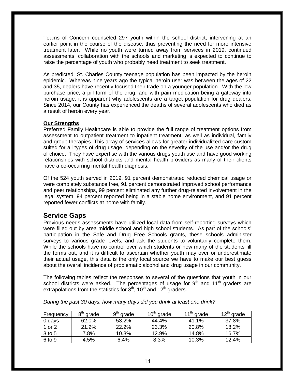Teams of Concern counseled 297 youth within the school district, intervening at an earlier point in the course of the disease, thus preventing the need for more intensive treatment later. While no youth were turned away from services in 2019, continued assessments, collaboration with the schools and marketing is expected to continue to raise the percentage of youth who probably need treatment to seek treatment.

As predicted, St. Charles County teenage population has been impacted by the heroin epidemic. Whereas nine years ago the typical heroin user was between the ages of 22 and 35, dealers have recently focused their trade on a younger population. With the low purchase price, a pill form of the drug, and with pain medication being a gateway into heroin usage, it is apparent why adolescents are a target population for drug dealers. Since 2014, our County has experienced the deaths of several adolescents who died as a result of heroin every year.

#### **Our Strengths**

Preferred Family Healthcare is able to provide the full range of treatment options from assessment to outpatient treatment to inpatient treatment, as well as individual, family and group therapies. This array of services allows for greater individualized care custom suited for all types of drug usage, depending on the severity of the use and/or the drug of choice. They have expertise with the various drugs youth use and have good working relationships with school districts and mental health providers as many of their clients have a co-occurring mental health diagnosis.

Of the 524 youth served in 2019, 91 percent demonstrated reduced chemical usage or were completely substance free, 91 percent demonstrated improved school performance and peer relationships, 99 percent eliminated any further drug-related involvement in the legal system, 94 percent reported being in a stable home environment, and 91 percent reported fewer conflicts at home with family.

### **Service Gaps**

Previous needs assessments have utilized local data from self-reporting surveys which were filled out by area middle school and high school students. As part of the schools' participation in the Safe and Drug Free Schools grants, these schools administer surveys to various grade levels, and ask the students to voluntarily complete them. While the schools have no control over which students or how many of the students fill the forms out, and it is difficult to ascertain whether youth may over or underestimate their actual usage, this data is the only local source we have to make our best guess about the overall incidence of problematic alcohol and drug usage in our community.

The following tables reflect the responses to several of the questions that youth in our school districts were asked. The percentages of usage for  $9<sup>th</sup>$  and  $11<sup>th</sup>$  graders are extrapolations from the statistics for  $8<sup>th</sup>$ , 10<sup>th</sup> and 12<sup>th</sup> graders.

*During the past 30 days, how many days did you drink at least one drink?*

| Frequency | $8^{\mathsf{th}}$<br>' grade | q <sup>u</sup><br>grade | $10th$ grade | $11th$ grade | $12^{th}$ grade |
|-----------|------------------------------|-------------------------|--------------|--------------|-----------------|
| $0$ days  | 62.0%                        | 53.2%                   | 44.4%        | 41.1%        | 37.8%           |
| 1 or 2    | 21.2%                        | 22.2%                   | 23.3%        | 20.8%        | 18.2%           |
| 3 to 5    | 7.8%                         | 10.3%                   | 12.9%        | 14.8%        | 16.7%           |
| 6 to 9    | 4.5%                         | 6.4%                    | 8.3%         | 10.3%        | 12.4%           |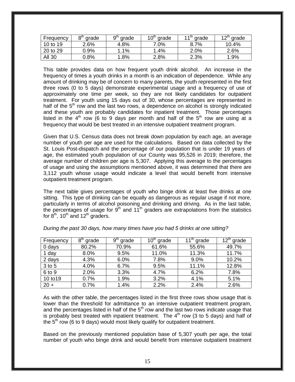| Frequency     | $8^{\rm m}$<br>grade | q <sup>u</sup><br>grade | $10^{\text{th}}$<br>grade | $4.4$ In<br>grade | 12 $\mathsf{m}$<br>grade |
|---------------|----------------------|-------------------------|---------------------------|-------------------|--------------------------|
| 10 to 19      | 2.6%                 | 4.8%                    | 7.0%                      | 8.7%              | 10.4%                    |
| 20 to 29      | 0.9%                 | 1.1%                    | .4%                       | 2.0%              | 2.6%                     |
| <b>All 30</b> | ን.8%                 | .8%                     | 2.8%                      | 2.3%              | 1.9%                     |

This table provides data on how frequent youth drink alcohol. An increase in the frequency of times a youth drinks in a month is an indication of dependence. While any amount of drinking may be of concern to many parents, the youth represented in the first three rows (0 to 5 days) demonstrate experimental usage and a frequency of use of approximately one time per week, so they are not likely candidates for outpatient treatment. For youth using 15 days out of 30, whose percentages are represented in half of the  $5<sup>th</sup>$  row and the last two rows, a dependence on alcohol is strongly indicated and these youth are probably candidates for inpatient treatment. Those percentages listed in the  $4<sup>th</sup>$  row (6 to 9 days per month and half of the  $5<sup>th</sup>$  row are using at a frequency that would be best treated in an intensive outpatient treatment program.

Given that U.S. Census data does not break down population by each age, an average number of youth per age are used for the calculations. Based on data collected by the St. Louis Post-dispatch and the percentage of our population that is under 19 years of age, the estimated youth population of our County was 95,526 in 2019; therefore, the average number of children per age is 5,307. Applying this average to the percentages of usage and using the assumptions mentioned above, it was determined that there are 3,112 youth whose usage would indicate a level that would benefit from intensive outpatient treatment program.

The next table gives percentages of youth who binge drink at least five drinks at one sitting. This type of drinking can be equally as dangerous as regular usage if not more, particularly in terms of alcohol poisoning and drinking and driving. As in the last table, the percentages of usage for  $9<sup>th</sup>$  and  $11<sup>th</sup>$  graders are extrapolations from the statistics for  $8<sup>th</sup>$ , 10<sup>th</sup> and 12<sup>th</sup> graders.

| Frequency | $8th$ grade | $9th$ grade | $10th$ grade | $11th$ grade | $12^{th}$ grade |
|-----------|-------------|-------------|--------------|--------------|-----------------|
| $0$ days  | 80.2%       | 70.9%       | 61.6%        | 55.6%        | 49.7%           |
| 1 day     | 8.0%        | 9.5%        | 11.0%        | 11.3%        | 11.7%           |
| 2 days    | 4.3%        | 6.0%        | 7.8%         | 9.0%         | 10.2%           |
| 3 to 5    | 4.0%        | 6.7%        | 9.5%         | 11.1%        | 12.8%           |
| 6 to 9    | 2.0%        | 3.3%        | 4.7%         | 6.2%         | 7.8%            |
| 10 to 19  | 0.7%        | 1.9%        | 3.2%         | 4.1%         | 5.1%            |
| $20 +$    | 0.7%        | 1.4%        | 2.2%         | 2.4%         | 2.6%            |

*During the past 30 days, how many times have you had 5 drinks at one sitting?*

As with the other table, the percentages listed in the first three rows show usage that is lower than the threshold for admittance to an intensive outpatient treatment program, and the percentages listed in half of the  $5<sup>th</sup>$  row and the last two rows indicate usage that is probably best treated with inpatient treatment. The  $4<sup>th</sup>$  row (3 to 5 days) and half of the  $5<sup>th</sup>$  row (6 to 9 days) would most likely qualify for outpatient treatment.

Based on the previously mentioned population base of 5,307 youth per age, the total number of youth who binge drink and would benefit from intensive outpatient treatment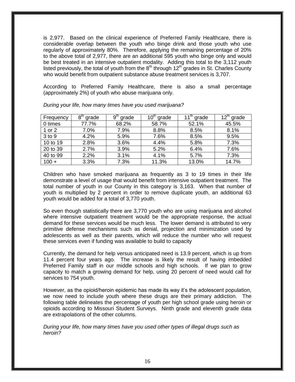is 2,977. Based on the clinical experience of Preferred Family Healthcare, there is considerable overlap between the youth who binge drink and those youth who use regularly of approximately 80%. Therefore, applying the remaining percentage of 20% to the above total of 2,977, there are an additional 595 youth who binge only and would be best treated in an intensive outpatient modality. Adding this total to the 3,112 youth listed previously, the total of youth from the  $8<sup>th</sup>$  through 12<sup>th</sup> grades in St. Charles County who would benefit from outpatient substance abuse treatment services is 3,707.

According to Preferred Family Healthcare, there is also a small percentage (approximately 2%) of youth who abuse marijuana only.

| Frequency | 8 <sup>th</sup> grade | $9^{\sf th}$<br>grade | $10th$ grade | $11th$ grade | $12^{th}$ grade |
|-----------|-----------------------|-----------------------|--------------|--------------|-----------------|
| 0 times   | 77.7%                 | 68.2%                 | 58.7%        | 52.1%        | 45.5%           |
| 1 or 2    | 7.0%                  | 7.9%                  | 8.8%         | 8.5%         | 8.1%            |
| 3 to 9    | 4.2%                  | 5.9%                  | 7.6%         | 8.5%         | 9.5%            |
| 10 to 19  | 2.8%                  | 3.6%                  | 4.4%         | 5.8%         | 7.3%            |
| 20 to 39  | 2.7%                  | 3.9%                  | 5.2%         | 6.4%         | 7.6%            |
| 40 to 99  | 2.2%                  | 3.1%                  | 4.1%         | 5.7%         | 7.3%            |
| $100 +$   | 3.3%                  | 7.3%                  | 11.3%        | 13.0%        | 14.7%           |

*During your life, how many times have you used marijuana?*

Children who have smoked marijuana as frequently as 3 to 19 times in their life demonstrate a level of usage that would benefit from intensive outpatient treatment. The total number of youth in our County in this category is 3,163. When that number of youth is multiplied by 2 percent in order to remove duplicate youth, an additional 63 youth would be added for a total of 3,770 youth.

So even though statistically there are 3,770 youth who are using marijuana and alcohol where intensive outpatient treatment would be the appropriate response, the actual demand for these services would be much less. The lower demand is attributed to very primitive defense mechanisms such as denial, projection and minimization used by adolescents as well as their parents, which will reduce the number who will request these services even if funding was available to build to capacity

Currently, the demand for help versus anticipated need is 13.9 percent, which is up from 11.4 percent four years ago. The increase is likely the result of having imbedded Preferred Family staff in our middle schools and high schools. If we plan to grow capacity to match a growing demand for help, using 20 percent of need would call for services to 754 youth.

However, as the opioid/heroin epidemic has made its way it's the adolescent population, we now need to include youth where these drugs are their primary addiction. The following table delineates the percentage of youth per high school grade using heroin or opioids according to Missouri Student Surveys. Ninth grade and eleventh grade data are extrapolations of the other columns.

*During your life, how many times have you used other types of illegal drugs such as heroin?*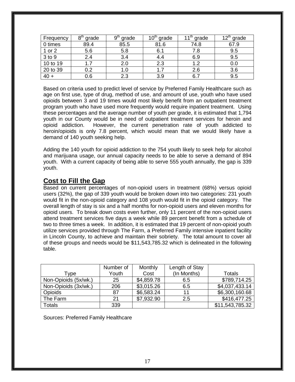| Frequency | $8^{\sf th}$<br>grade | <b>Q<sup>tr</sup></b><br>grade | $\Omega^{\text{tn}}$<br>grade | $11^{\text{th}}$ .<br>grade | ⊿ ∩th<br>grade |
|-----------|-----------------------|--------------------------------|-------------------------------|-----------------------------|----------------|
| 0 times   | 89.4                  | 85.5                           | 81.6                          | 74.8                        | 67.9           |
| 1 or 2    | 5.6                   | 5.8                            | 6.1                           | 7.8                         | 9.5            |
| 3 to 9    | 2.4                   | 3.4                            | 4.4                           | 6.9                         | 9.5            |
| 10 to 19  |                       | 2.0                            | 2.3                           | 1.2                         | 0.0            |
| 20 to 39  | 0.2                   | 1.0                            | 1.7                           | 2.6                         | 3.6            |
| $40 +$    | 0.6                   | 2.3                            | 3.9                           | 6.                          | 9.5            |

Based on criteria used to predict level of service by Preferred Family Healthcare such as age on first use, type of drug, method of use, and amount of use, youth who have used opioids between 3 and 19 times would most likely benefit from an outpatient treatment program youth who have used more frequently would require inpatient treatment. Using these percentages and the average number of youth per grade, it is estimated that 1,794 youth in our County would be in need of outpatient treatment services for heroin and opioid addiction. However, the current penetration rate of youth addicted to heroin/opioids is only 7.8 percent, which would mean that we would likely have a demand of 140 youth seeking help.

Adding the 140 youth for opioid addiction to the 754 youth likely to seek help for alcohol and marijuana usage, our annual capacity needs to be able to serve a demand of 894 youth. With a current capacity of being able to serve 555 youth annually, the gap is 339 youth.

### **Cost to Fill the Gap**

Based on current percentages of non-opioid users in treatment (68%) versus opioid users (32%), the gap of 339 youth would be broken down into two categories: 231 youth would fit in the non-opioid category and 108 youth would fit in the opioid category. The overall length of stay is six and a half months for non-opioid users and eleven months for opioid users. To break down costs even further, only 11 percent of the non-opioid users attend treatment services five days a week while 89 percent benefit from a schedule of two to three times a week. In addition, it is estimated that 19 percent of non-opioid youth utilize services provided through The Farm, a Preferred Family intensive inpatient facility in Lincoln County, to achieve and maintain their sobriety. The total amount to cover all of these groups and needs would be \$11,543,785.32 which is delineated in the following table.

|                      | Number of | Monthly    | Length of Stay |                 |
|----------------------|-----------|------------|----------------|-----------------|
| Type                 | Youth     | Cost       | (In Months)    | Totals          |
| Non-Opioids (5x/wk.) | 25        | \$4,859.78 | 6.5            | \$789,714.25    |
| Non-Opioids (3x/wk.) | 206       | \$3,015.26 | 6.5            | \$4,037,433.14  |
| <b>Opioids</b>       | 87        | \$6,583.24 | 11             | \$6,300,160.68  |
| The Farm             | 21        | \$7,932.90 | 2.5            | \$416,477.25    |
| <b>Totals</b>        | 339       |            |                | \$11,543,785.32 |

Sources: Preferred Family Healthcare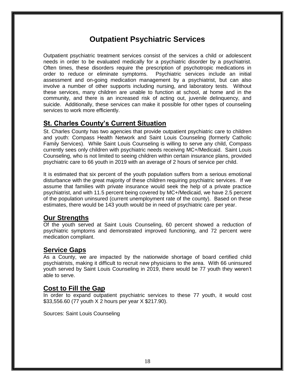### **Outpatient Psychiatric Services**

Outpatient psychiatric treatment services consist of the services a child or adolescent needs in order to be evaluated medically for a psychiatric disorder by a psychiatrist. Often times, these disorders require the prescription of psychotropic medications in order to reduce or eliminate symptoms. Psychiatric services include an initial assessment and on-going medication management by a psychiatrist, but can also involve a number of other supports including nursing, and laboratory tests. Without these services, many children are unable to function at school, at home and in the community, and there is an increased risk of acting out, juvenile delinquency, and suicide. Additionally, these services can make it possible for other types of counseling services to work more efficiently.

### **St. Charles County's Current Situation**

St. Charles County has two agencies that provide outpatient psychiatric care to children and youth: Compass Health Network and Saint Louis Counseling (formerly Catholic Family Services). While Saint Louis Counseling is willing to serve any child, Compass currently sees only children with psychiatric needs receiving MC+/Medicaid. Saint Louis Counseling, who is not limited to seeing children within certain insurance plans, provided psychiatric care to 66 youth in 2019 with an average of 2 hours of service per child.

It is estimated that six percent of the youth population suffers from a serious emotional disturbance with the great majority of these children requiring psychiatric services. If we assume that families with private insurance would seek the help of a private practice psychiatrist, and with 11.5 percent being covered by MC+/Medicaid, we have 2.5 percent of the population uninsured (current unemployment rate of the county). Based on these estimates, there would be 143 youth would be in need of psychiatric care per year.

### **Our Strengths**

Of the youth served at Saint Louis Counseling, 60 percent showed a reduction of psychiatric symptoms and demonstrated improved functioning, and 72 percent were medication compliant.

### **Service Gaps**

As a County, we are impacted by the nationwide shortage of board certified child psychiatrists, making it difficult to recruit new physicians to the area. With 66 uninsured youth served by Saint Louis Counseling in 2019, there would be 77 youth they weren't able to serve.

### **Cost to Fill the Gap**

In order to expand outpatient psychiatric services to these 77 youth, it would cost \$33,556.60 (77 youth X 2 hours per year X \$217.90).

Sources: Saint Louis Counseling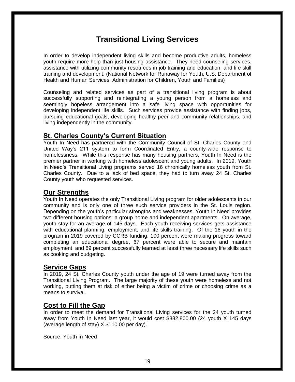# **Transitional Living Services**

In order to develop independent living skills and become productive adults, homeless youth require more help than just housing assistance. They need counseling services, assistance with utilizing community resources in job training and education, and life skill training and development. (National Network for Runaway for Youth; U.S. Department of Health and Human Services, Administration for Children, Youth and Families)

Counseling and related services as part of a transitional living program is about successfully supporting and reintegrating a young person from a homeless and seemingly hopeless arrangement into a safe living space with opportunities for developing independent life skills. Such services provide assistance with finding jobs, pursuing educational goals, developing healthy peer and community relationships, and living independently in the community.

### **St. Charles County's Current Situation**

Youth In Need has partnered with the Community Council of St. Charles County and United Way's 211 system to form Coordinated Entry, a county-wide response to homelessness. While this response has many housing partners, Youth In Need is the premier partner in working with homeless adolescent and young adults. In 2019, Youth In Need's Transitional Living programs served 16 chronically homeless youth from St. Charles County. Due to a lack of bed space, they had to turn away 24 St. Charles County youth who requested services.

### **Our Strengths**

Youth In Need operates the only Transitional Living program for older adolescents in our community and is only one of three such service providers in the St. Louis region. Depending on the youth's particular strengths and weaknesses, Youth In Need provides two different housing options: a group home and independent apartments. On average, youth stay for an average of 145 days. Each youth receiving services gets assistance with educational planning, employment, and life skills training. Of the 16 youth in the program in 2019 covered by CCRB funding, 100 percent were making progress toward completing an educational degree, 67 percent were able to secure and maintain employment, and 89 percent successfully learned at least three necessary life skills such as cooking and budgeting.

### **Service Gaps**

In 2019, 24 St. Charles County youth under the age of 19 were turned away from the Transitional Living Program. The large majority of these youth were homeless and not working, putting them at risk of either being a victim of crime or choosing crime as a means to survival.

### **Cost to Fill the Gap**

In order to meet the demand for Transitional Living services for the 24 youth turned away from Youth In Need last year, it would cost \$382,800.00 (24 youth X 145 days (average length of stay) X \$110.00 per day).

Source: Youth In Need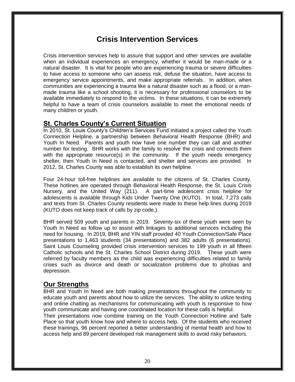### **Crisis Intervention Services**

Crisis intervention services help to assure that support and other services are available when an individual experiences an emergency, whether it would be man-made or a natural disaster. It is vital for people who are experiencing trauma or severe difficulties to have access to someone who can assess risk, defuse the situation, have access to emergency service appointments, and make appropriate referrals. In addition, when communities are experiencing a trauma like a natural disaster such as a flood, or a manmade trauma like a school shooting, it is necessary for professional counselors to be available immediately to respond to the victims. In these situations, it can be extremely helpful to have a team of crisis counselors available to meet the emotional needs of many children or youth.

### **St. Charles County's Current Situation**

In 2010, St. Louis County's Children's Services Fund initiated a project called the Youth Connection Helpline, a partnership between Behavioral Health Response (BHR) and Youth In Need. Parents and youth now have one number they can call and another number for texting. BHR works with the family to resolve the crisis and connects them with the appropriate resource(s) in the community. If the youth needs emergency shelter, then Youth In Need is contacted, and shelter and services are provided. In 2012, St. Charles County was able to establish its own helpline.

Four 24-hour toll-free helplines are available to the citizens of St. Charles County. These hotlines are operated through Behavioral Health Response, the St. Louis Crisis Nursery, and the United Way (211). A part-time adolescent crisis helpline for adolescents is available through Kids Under Twenty One (KUTO). In total, 7,273 calls and texts from St. Charles County residents were made to these help lines during 2019 (KUTO does not keep track of calls by zip code.).

BHR served 509 youth and parents in 2019. Seventy-six of these youth were seen by Youth In Need as follow up to assist with linkages to additional services including the need for housing. In 2019, BHR and YIN staff provided 40 Youth Connection/Safe Place presentations to 1,463 students (34 presentations) and 382 adults (6 presentations). Saint Louis Counseling provided crisis intervention services to 199 youth in all fifteen Catholic schools and the St. Charles School District during 2019. These youth were referred by faculty members as the child was experiencing difficulties related to family crises such as divorce and death or socialization problems due to phobias and depression.

### **Our Strengths**

BHR and Youth In Need are both making presentations throughout the community to educate youth and parents about how to utilize the services. The ability to utilize texting and online chatting as mechanisms for communicating with youth is responsive to how youth communicate and having one coordinated location for these calls is helpful.

Their presentations now combine training on the Youth Connection Hotline and Safe Place so that youth know how and where to access help. Of the students who received these trainings, 96 percent reported a better understanding of mental health and how to access help and 89 percent developed risk management skills to avoid risky behaviors.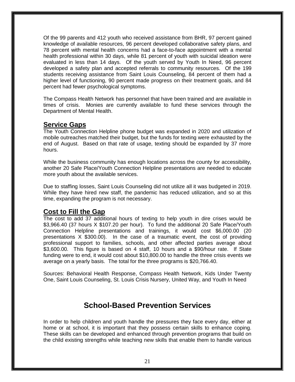Of the 99 parents and 412 youth who received assistance from BHR, 97 percent gained knowledge of available resources, 96 percent developed collaborative safety plans, and 78 percent with mental health concerns had a face-to-face appointment with a mental health professional within 30 days, while 81 percent of youth with suicidal ideation were evaluated in less than 14 days. Of the youth served by Youth In Need, 96 percent developed a safety plan and accepted referrals to community resources. Of the 199 students receiving assistance from Saint Louis Counseling, 84 percent of them had a higher level of functioning, 90 percent made progress on their treatment goals, and 84 percent had fewer psychological symptoms.

The Compass Health Network has personnel that have been trained and are available in times of crisis. Monies are currently available to fund these services through the Department of Mental Health.

### **Service Gaps**

The Youth Connection Helpline phone budget was expanded in 2020 and utilization of mobile outreaches matched their budget, but the funds for texting were exhausted by the end of August. Based on that rate of usage, texting should be expanded by 37 more hours.

While the business community has enough locations across the county for accessibility, another 20 Safe Place/Youth Connection Helpline presentations are needed to educate more youth about the available services.

Due to staffing losses, Saint Louis Counseling did not utilize all it was budgeted in 2019. While they have hired new staff, the pandemic has reduced utilization, and so at this time, expanding the program is not necessary.

### **Cost to Fill the Gap**

The cost to add 37 additional hours of texting to help youth in dire crises would be \$3,966.40 (37 hours X \$107.20 per hour). To fund the additional 20 Safe Place/Youth Connection Helpline presentations and trainings, it would cost \$6,000.00 (20 presentations X \$300.00). In the case of a traumatic event, the cost of providing professional support to families, schools, and other affected parties average about \$3,600.00. This figure is based on 4 staff, 10 hours and a \$90/hour rate. If State funding were to end, it would cost about \$10,800.00 to handle the three crisis events we average on a yearly basis. The total for the three programs is \$20,766.40.

Sources: Behavioral Health Response, Compass Health Network, Kids Under Twenty One, Saint Louis Counseling, St. Louis Crisis Nursery, United Way, and Youth In Need

### **School-Based Prevention Services**

In order to help children and youth handle the pressures they face every day, either at home or at school, it is important that they possess certain skills to enhance coping. These skills can be developed and enhanced through prevention programs that build on the child existing strengths while teaching new skills that enable them to handle various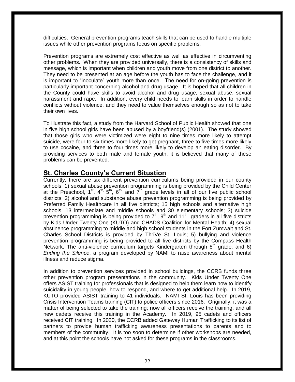difficulties. General prevention programs teach skills that can be used to handle multiple issues while other prevention programs focus on specific problems.

Prevention programs are extremely cost effective as well as effective in circumventing other problems. When they are provided universally, there is a consistency of skills and message, which is important when children and youth move from one district to another. They need to be presented at an age before the youth has to face the challenge, and it is important to "inoculate" youth more than once. The need for on-going prevention is particularly important concerning alcohol and drug usage. It is hoped that all children in the County could have skills to avoid alcohol and drug usage, sexual abuse, sexual harassment and rape. In addition, every child needs to learn skills in order to handle conflicts without violence, and they need to value themselves enough so as not to take their own lives.

To illustrate this fact, a study from the Harvard School of Public Health showed that one in five high school girls have been abused by a boyfriend(s) (2001). The study showed that those girls who were victimized were eight to nine times more likely to attempt suicide, were four to six times more likely to get pregnant, three to five times more likely to use cocaine, and three to four times more likely to develop an eating disorder. By providing services to both male and female youth, it is believed that many of these problems can be prevented.

### **St. Charles County's Current Situation**

Currently, there are six different prevention curriculums being provided in our county schools: 1) sexual abuse prevention programming is being provided by the Child Center at the Preschool, 1<sup>st</sup>, 4<sup>th, 5th</sup>, 6<sup>th,</sup> and 7<sup>th</sup> grade levels in all of our five public school districts; 2) alcohol and substance abuse prevention programming is being provided by Preferred Family Healthcare in all five districts; 15 high schools and alternative high schools, 13 intermediate and middle schools and 30 elementary schools; 3) suicide prevention programming is being provided to  $7<sup>th</sup>$ , 9<sup>th</sup> and 11<sup>th</sup> graders in all five districts by Kids Under Twenty One (KUTO) and CHADS Coalition for Mental Health; 4) sexual abstinence programming to middle and high school students in the Fort Zumwalt and St. Charles School Districts is provided by ThriVe St. Louis; 5) bullying and violence prevention programming is being provided to all five districts by the Compass Health Network. The anti-violence curriculum targets Kindergarten through  $8<sup>th</sup>$  grade; and 6) *Ending the Silence*, a program developed by NAMI to raise awareness about mental illness and reduce stigma.

In addition to prevention services provided in school buildings, the CCRB funds three other prevention program presentations in the community. Kids Under Twenty One offers ASIST training for professionals that is designed to help them learn how to identify suicidality in young people, how to respond, and where to get additional help. In 2019, KUTO provided ASIST training to 41 individuals. NAMI St. Louis has been providing Crisis Intervention Teams training (CIT) to police officers since 2016. Originally, it was a matter of being selected to take the training; now all officers receive the training, and all new cadets receive this training in the Academy. In 2019, 95 cadets and officers received CIT training. In 2020, the CCRB added Gateway Human Trafficking to its list of partners to provide human trafficking awareness presentations to parents and to members of the community. It is too soon to determine if other workshops are needed, and at this point the schools have not asked for these programs in the classrooms.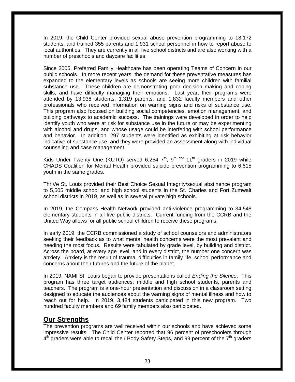In 2019, the Child Center provided sexual abuse prevention programming to 18,172 students, and trained 355 parents and 1,931 school personnel in how to report abuse to local authorities. They are currently in all five school districts and are also working with a number of preschools and daycare facilities.

Since 2005, Preferred Family Healthcare has been operating Teams of Concern in our public schools. In more recent years, the demand for these preventative measures has expanded to the elementary levels as schools are seeing more children with familial substance use. These children are demonstrating poor decision making and coping skills, and have difficulty managing their emotions. Last year, their programs were attended by 13,938 students, 1,319 parents, and 1,832 faculty members and other professionals who received information on warning signs and risks of substance use. This program also focused on building social competencies, emotion management, and building pathways to academic success. The trainings were developed in order to help identify youth who were at risk for substance use in the future or may be experimenting with alcohol and drugs, and whose usage could be interfering with school performance and behavior. In addition, 297 students were identified as exhibiting at risk behavior indicative of substance use, and they were provided an assessment along with individual counseling and case management.

Kids Under Twenty One (KUTO) served 6,254  $7<sup>th</sup>$ , 9<sup>th and</sup> 11<sup>th</sup> graders in 2019 while CHADS Coalition for Mental Health provided suicide prevention programming to 6,615 youth in the same grades.

ThriVe St. Louis provided their Best Choice Sexual Integrity/sexual abstinence program to 5,505 middle school and high school students in the St. Charles and Fort Zumwalt school districts in 2019, as well as in several private high schools.

In 2019, the Compass Health Network provided anti-violence programming to 34,548 elementary students in all five public districts. Current funding from the CCRB and the United Way allows for all public school children to receive these programs.

In early 2019, the CCRB commissioned a study of school counselors and administrators seeking their feedback as to what mental health concerns were the most prevalent and needing the most focus. Results were tabulated by grade level, by building and district. Across the board, at every age level, and in every district, the number one concern was anxiety. Anxiety is the result of trauma, difficulties in family life, school performance and concerns about their futures and the future of the planet.

In 2019, NAMI St. Louis began to provide presentations called *Ending the Silence*. This program has three target audiences: middle and high school students, parents and teachers. The program is a one-hour presentation and discussion in a classroom setting designed to educate the audiences about the warning signs of mental illness and how to reach out for help. In 2019, 3,484 students participated in this new program. Two hundred faculty members and 69 family members also participated.

#### **Our Strengths**

The prevention programs are well received within our schools and have achieved some impressive results. The Child Center reported that 96 percent of preschoolers through  $4<sup>th</sup>$  graders were able to recall their Body Safety Steps, and 99 percent of the 7<sup>th</sup> graders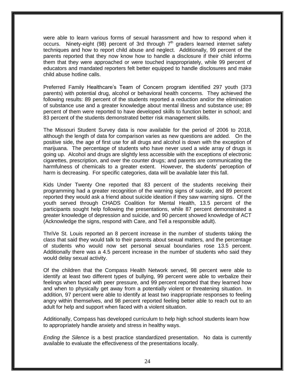were able to learn various forms of sexual harassment and how to respond when it occurs. Ninety-eight (98) percent of 3rd through  $7<sup>th</sup>$  graders learned internet safety techniques and how to report child abuse and neglect. Additionally, 99 percent of the parents reported that they now know how to handle a disclosure if their child informs them that they were approached or were touched inappropriately, while 99 percent of educators and mandated reporters felt better equipped to handle disclosures and make child abuse hotline calls.

Preferred Family Healthcare's Team of Concern program identified 297 youth (373 parents) with potential drug, alcohol or behavioral health concerns. They achieved the following results: 89 percent of the students reported a reduction and/or the elimination of substance use and a greater knowledge about mental illness and substance use; 89 percent of them were reported to have developed skills to function better in school; and 83 percent of the students demonstrated better risk management skills.

The Missouri Student Survey data is now available for the period of 2006 to 2018, although the length of data for comparison varies as new questions are added. On the positive side, the age of first use for all drugs and alcohol is down with the exception of marijuana. The percentage of students who have never used a wide array of drugs is going up. Alcohol and drugs are slightly less accessible with the exceptions of electronic cigarettes, prescription, and over the counter drugs; and parents are communicating the harmfulness of chemicals to a greater extent. However, the students' perception of harm is decreasing. For specific categories, data will be available later this fall.

Kids Under Twenty One reported that 83 percent of the students receiving their programming had a greater recognition of the warning signs of suicide, and 89 percent reported they would ask a friend about suicide ideation if they saw warning signs. Of the youth served through CHADS Coalition for Mental Health, 13.5 percent of the participants sought help following the presentations, while 87 percent demonstrated a greater knowledge of depression and suicide, and 90 percent showed knowledge of ACT (Acknowledge the signs, respond with Care, and Tell a responsible adult).

ThriVe St. Louis reported an 8 percent increase in the number of students taking the class that said they would talk to their parents about sexual matters, and the percentage of students who would now set personal sexual boundaries rose 13.5 percent. Additionally there was a 4.5 percent increase in the number of students who said they would delay sexual activity.

Of the children that the Compass Health Network served, 98 percent were able to identify at least two different types of bullying, 99 percent were able to verbalize their feelings when faced with peer pressure, and 99 percent reported that they learned how and when to physically get away from a potentially violent or threatening situation. In addition, 97 percent were able to identify at least two inappropriate responses to feeling angry within themselves, and 98 percent reported feeling better able to reach out to an adult for help and support when faced with a violent situation.

Additionally, Compass has developed curriculum to help high school students learn how to appropriately handle anxiety and stress in healthy ways.

*Ending the Silence* is a best practice standardized presentation. No data is currently available to evaluate the effectiveness of the presentations locally.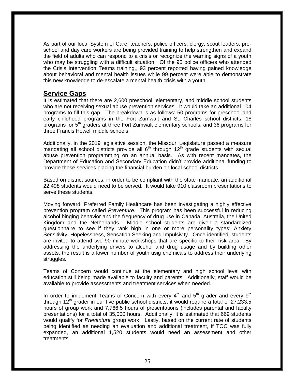As part of our local System of Care, teachers, police officers, clergy, scout leaders, preschool and day care workers are being provided training to help strengthen and expand the field of adults who can respond to a crisis or recognize the warning signs of a youth who may be struggling with a difficult situation. Of the 95 police officers who attended the Crisis Intervention Teams training,, 93 percent reported having gained knowledge about behavioral and mental health issues while 99 percent were able to demonstrate this new knowledge to de-escalate a mental health crisis with a youth.

#### **Service Gaps**

It is estimated that there are 2,600 preschool, elementary, and middle school students who are not receiving sexual abuse prevention services. It would take an additional 104 programs to fill this gap. The breakdown is as follows: 50 programs for preschool and early childhood programs in the Fort Zumwalt and St. Charles school districts, 18 programs for 5<sup>th</sup> graders at three Fort Zumwalt elementary schools, and 36 programs for three Francis Howell middle schools.

Additionally, in the 2019 legislative session, the Missouri Legislature passed a measure mandating all school districts provide all  $6<sup>th</sup>$  through 12<sup>th</sup> grade students with sexual abuse prevention programming on an annual basis. As with recent mandates, the Department of Education and Secondary Education didn't provide additional funding to provide these services placing the financial burden on local school districts.

Based on district sources, in order to be compliant with the state mandate, an additional 22,498 students would need to be served. It would take 910 classroom presentations to serve these students.

Moving forward, Preferred Family Healthcare has been investigating a highly effective prevention program called *Preventure*. This program has been successful in reducing alcohol binging behavior and the frequency of drug use in Canada, Australia, the United Kingdom and the Netherlands. Middle school students are given a standardized questionnaire to see if they rank high in one or more personality types; Anxiety Sensitivity, Hopelessness, Sensation Seeking and Impulsivity. Once identified, students are invited to attend two 90 minute workshops that are specific to their risk area. By addressing the underlying drivers to alcohol and drug usage and by building other assets, the result is a lower number of youth usig chemicals to address their underlying struggles.

Teams of Concern would continue at the elementary and high school level with education still being made available to faculty and parents. Additionally, staff would be available to provide assessments and treatment services when needed.

In order to implement Teams of Concern with every  $4<sup>th</sup>$  and  $5<sup>th</sup>$  grader and every  $9<sup>th</sup>$ through  $12<sup>th</sup>$  grader in our five public school districts, it would require a total of 27,233.5 hours of group work and 7,766.5 hours of presentations (includes parental and faculty presentations) for a total of 35,000 hours. Additionally, it is estimated that 669 students would qualify for *Preventure* group work. Lastly, based on the current rate of students being identified as needing an evaluation and additional treatment, if TOC was fully expanded, an additional 1,520 students would need an assessment and other treatments.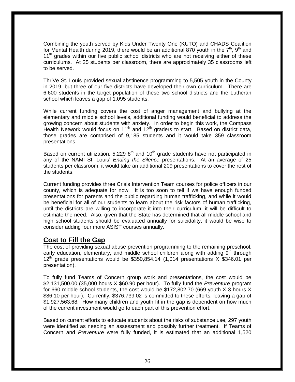Combining the youth served by Kids Under Twenty One (KUTO) and CHADS Coalition for Mental Health during 2019, there would be an additional 870 youth in the  $7<sup>th</sup>$ , 9<sup>th</sup> and  $11<sup>th</sup>$  grades within our five public school districts who are not receiving either of these curriculums. At 25 students per classroom, there are approximately 35 classrooms left to be served.

ThriVe St. Louis provided sexual abstinence programming to 5,505 youth in the County in 2019, but three of our five districts have developed their own curriculum. There are 6,600 students in the target population of these two school districts and the Lutheran school which leaves a gap of 1,095 students.

While current funding covers the cost of anger management and bullying at the elementary and middle school levels, additional funding would beneficial to address the growing concern about students with anxiety. In order to begin this work, the Compass Health Network would focus on 11<sup>th</sup> and 12<sup>th</sup> graders to start. Based on district data, those grades are comprised of 9,185 students and it would take 359 classroom presentations.

Based on current utilization, 5,229  $8<sup>th</sup>$  and 10<sup>th</sup> grade students have not participated in any of the NAMI St. Louis' *Ending the Silence* presentations. At an average of 25 students per classroom, it would take an additional 209 presentations to cover the rest of the students.

Current funding provides three Crisis Intervention Team courses for police officers in our county, which is adequate for now. It is too soon to tell if we have enough funded presentations for parents and the public regarding human trafficking, and while it would be beneficial for all of our students to learn about the risk factors of human trafficking, until the districts are willing to incorporate it into their curriculum, it will be difficult to estimate the need. Also, given that the State has determined that all middle school and high school students should be evaluated annually for suicidality, it would be wise to consider adding four more ASIST courses annually.

### **Cost to Fill the Gap**

The cost of providing sexual abuse prevention programming to the remaining preschool, early education, elementary, and middle school children along with adding 9<sup>th</sup> through  $12<sup>th</sup>$  grade presentations would be \$350,854.14 (1,014 presentations X \$346.01 per presentation).

To fully fund Teams of Concern group work and presentations, the cost would be \$2,131,500.00 (35,000 hours X \$60.90 per hour). To fully fund the *Preventure* program for 660 middle school students, the cost would be \$172,802.70 (669 youth X 3 hours X \$86.10 per hour). Currently, \$376,739.02 is committed to these efforts, leaving a gap of \$1,927,563.68. How many children and youth fit in the gap is dependent on how much of the current investment would go to each part of this prevention effort.

Based on current efforts to educate students about the risks of substance use, 297 youth were identified as needing an assessment and possibly further treatment. If Teams of Concern and *Preventure* were fully funded, it is estimated that an additional 1,520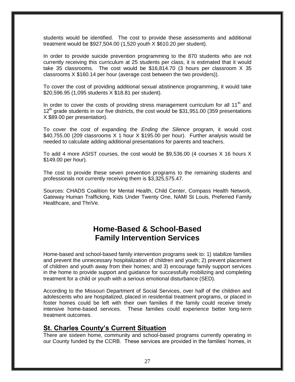students would be identified. The cost to provide these assessments and additional treatment would be \$927,504.00 (1,520 youth X \$610.20 per student).

In order to provide suicide prevention programming to the 870 students who are not currently receiving this curriculum at 25 students per class, it is estimated that it would take 35 classrooms. The cost would be \$16,814.70 (3 hours per classroom X 35 classrooms X \$160.14 per hour (average cost between the two providers)).

To cover the cost of providing additional sexual abstinence programming, it would take \$20,596.95 (1,095 students X \$18.81 per student).

In order to cover the costs of providing stress management curriculum for all  $11<sup>th</sup>$  and  $12<sup>th</sup>$  grade students in our five districts, the cost would be \$31,951.00 (359 presentations X \$89.00 per presentation).

To cover the cost of expanding the *Ending the Silence* program, it would cost \$40,755.00 (209 classrooms X 1 hour X \$195.00 per hour). Further analysis would be needed to calculate adding additional presentations for parents and teachers.

To add 4 more ASIST courses, the cost would be \$9,536.00 (4 courses X 16 hours X \$149.00 per hour).

The cost to provide these seven prevention programs to the remaining students and professionals not currently receiving them is \$3,325,575.47.

Sources: CHADS Coalition for Mental Health, Child Center, Compass Health Network, Gateway Human Trafficking, Kids Under Twenty One, NAMI St Louis, Preferred Family Healthcare, and ThriVe.

### **Home-Based & School-Based Family Intervention Services**

Home-based and school-based family intervention programs seek to: 1) stabilize families and prevent the unnecessary hospitalization of children and youth; 2) prevent placement of children and youth away from their homes; and 3) encourage family support services in the home to provide support and guidance for successfully mobilizing and completing treatment for a child or youth with a serious emotional disturbance (SED).

According to the Missouri Department of Social Services, over half of the children and adolescents who are hospitalized, placed in residential treatment programs, or placed in foster homes could be left with their own families if the family could receive timely intensive home-based services. These families could experience better long-term treatment outcomes.

#### **St. Charles County's Current Situation**

There are sixteen home, community and school-based programs currently operating in our County funded by the CCRB. These services are provided in the families' homes, in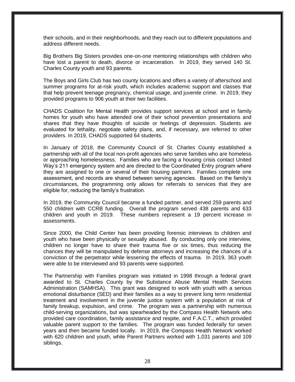their schools, and in their neighborhoods, and they reach out to different populations and address different needs.

Big Brothers Big Sisters provides one-on-one mentoring relationships with children who have lost a parent to death, divorce or incarceration. In 2019, they served 140 St. Charles County youth and 93 parents.

The Boys and Girls Club has two county locations and offers a variety of afterschool and summer programs for at-risk youth, which includes academic support and classes that that help prevent teenage pregnancy, chemical usage, and juvenile crime. In 2019, they provided programs to 906 youth at their two facilities.

CHADS Coalition for Mental Health provides support services at school and in family homes for youth who have attended one of their school prevention presentations and shares that they have thoughts of suicide or feelings of depression. Students are evaluated for lethality, negotiate safety plans, and, if necessary, are referred to other providers. In 2019, CHADS supported 64 students.

In January of 2018, the Community Council of St. Charles County established a partnership with all of the local non-profit agencies who serve families who are homeless or approaching homelessness. Families who are facing a housing crisis contact United Way's 211 emergency system and are directed to the Coordinated Entry program where they are assigned to one or several of their housing partners. Families complete one assessment, and records are shared between serving agencies. Based on the family's circumstances, the programming only allows for referrals to services that they are eligible for, reducing the family's frustration.

In 2019, the Community Council became a funded partner, and served 259 parents and 550 children with CCRB funding. Overall the program served 438 parents and 633 children and youth in 2019. These numbers represent a 19 percent increase in assessments.

Since 2000, the Child Center has been providing forensic interviews to children and youth who have been physically or sexually abused. By conducting only one interview, children no longer have to share their trauma five or six times, thus reducing the chances they will be manipulated by defense attorneys and increasing the chances of a conviction of the perpetrator while lessening the effects of trauma. In 2019, 363 youth were able to be interviewed and 93 parents were supported.

The Partnership with Families program was initiated in 1998 through a federal grant awarded to St. Charles County by the Substance Abuse Mental Health Services Administration (SAMHSA). This grant was designed to work with youth with a serious emotional disturbance (SED) and their families as a way to prevent long term residential treatment and involvement in the juvenile justice system with a population at risk of family breakup, expulsion, and crime. The program was a partnership with numerous child-serving organizations, but was spearheaded by the Compass Health Network who provided care coordination, family assistance and respite, and F.A.C.T., which provided valuable parent support to the families. The program was funded federally for seven years and then became funded locally. In 2019, the Compass Health Network worked with 620 children and youth, while Parent Partners worked with 1,031 parents and 109 siblings.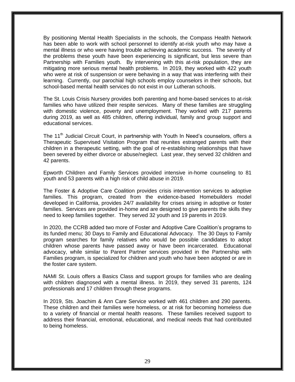By positioning Mental Health Specialists in the schools, the Compass Health Network has been able to work with school personnel to identify at-risk youth who may have a mental illness or who were having trouble achieving academic success. The severity of the problems these youth have been experiencing is significant, but less severe than Partnership with Families youth. By intervening with this at-risk population, they are mitigating more serious mental health problems. In 2019, they worked with 422 youth who were at risk of suspension or were behaving in a way that was interfering with their learning. Currently, our parochial high schools employ counselors in their schools, but school-based mental health services do not exist in our Lutheran schools.

The St. Louis Crisis Nursery provides both parenting and home-based services to at-risk families who have utilized their respite services. Many of these families are struggling with domestic violence, poverty and unemployment. They worked with 217 parents during 2019, as well as 485 children, offering individual, family and group support and educational services.

The 11<sup>th</sup> Judicial Circuit Court, in partnership with Youth In Need's counselors, offers a Therapeutic Supervised Visitation Program that reunites estranged parents with their children in a therapeutic setting, with the goal of re-establishing relationships that have been severed by either divorce or abuse/neglect. Last year, they served 32 children and 42 parents.

Epworth Children and Family Services provided intensive in-home counseling to 81 youth and 53 parents with a high risk of child abuse in 2019.

The Foster & Adoptive Care Coalition provides crisis intervention services to adoptive families. This program, created from the evidence-based Homebuilders model developed in California, provides 24/7 availability for crises arising in adoptive or foster families. Services are provided in-home and are designed to give parents the skills they need to keep families together. They served 32 youth and 19 parents in 2019.

In 2020, the CCRB added two more of Foster and Adoptive Care Coalition's programs to its funded menu; 30 Days to Family and Educational Advocacy. The 30 Days to Family program searches for family relatives who would be possible candidates to adopt children whose parents have passed away or have been incarcerated. Educational advocacy, while similar to Parent Partner services provided in the Partnership with Families program, is specialized for children and youth who have been adopted or are in the foster care system.

NAMI St. Louis offers a Basics Class and support groups for families who are dealing with children diagnosed with a mental illness. In 2019, they served 31 parents, 124 professionals and 17 children through these programs.

In 2019, Sts. Joachim & Ann Care Service worked with 461 children and 290 parents. These children and their families were homeless, or at risk for becoming homeless due to a variety of financial or mental health reasons. These families received support to address their financial, emotional, educational, and medical needs that had contributed to being homeless.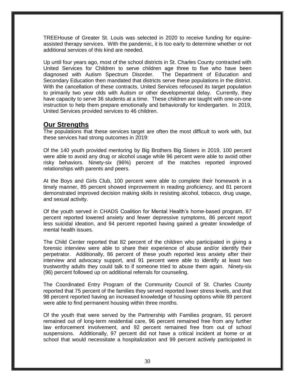TREEHouse of Greater St. Louis was selected in 2020 to receive funding for equineassisted therapy services. With the pandemic, it is too early to determine whether or not additional services of this kind are needed.

Up until four years ago, most of the school districts in St. Charles County contracted with United Services for Children to serve children age three to five who have been diagnosed with Autism Spectrum Disorder. The Department of Education and Secondary Education then mandated that districts serve these populations in the district. With the cancellation of these contracts, United Services refocused its target population to primarily two year olds with Autism or other developmental delay. Currently, they have capacity to serve 36 students at a time. These children are taught with one-on-one instruction to help them prepare emotionally and behaviorally for kindergarten. In 2019, United Services provided services to 46 children.

### **Our Strengths**

The populations that these services target are often the most difficult to work with, but these services had strong outcomes in 2019:

Of the 140 youth provided mentoring by Big Brothers Big Sisters in 2019, 100 percent were able to avoid any drug or alcohol usage while 96 percent were able to avoid other risky behaviors. Ninety-six (96%) percent of the matches reported improved relationships with parents and peers.

At the Boys and Girls Club, 100 percent were able to complete their homework in a timely manner, 85 percent showed improvement in reading proficiency, and 81 percent demonstrated improved decision making skills in resisting alcohol, tobacco, drug usage, and sexual activity.

Of the youth served in CHADS Coalition for Mental Health's home-based program, 87 percent reported lowered anxiety and fewer depressive symptoms, 86 percent report less suicidal ideation, and 94 percent reported having gained a greater knowledge of mental health issues.

The Child Center reported that 82 percent of the children who participated in giving a forensic interview were able to share their experience of abuse and/or identify their perpetrator. Additionally, 86 percent of these youth reported less anxiety after their interview and advocacy support, and 91 percent were able to identify at least two trustworthy adults they could talk to if someone tried to abuse them again. Ninety-six (96) percent followed up on additional referrals for counseling.

The Coordinated Entry Program of the Community Council of St. Charles County reported that 75 percent of the families they served reported lower stress levels, and that 98 percent reported having an increased knowledge of housing options while 89 percent were able to find permanent housing within three months.

Of the youth that were served by the Partnership with Families program, 91 percent remained out of long-term residential care, 96 percent remained free from any further law enforcement involvement, and 92 percent remained free from out of school suspensions. Additionally, 97 percent did not have a critical incident at home or at school that would necessitate a hospitalization and 99 percent actively participated in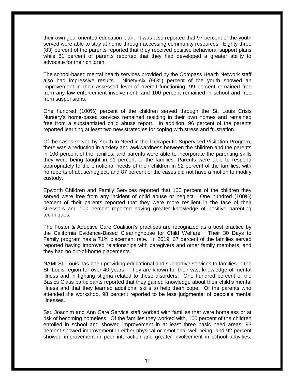their own goal oriented education plan. It was also reported that 97 percent of the youth served were able to stay at home through accessing community resources. Eighty-three (83) percent of the parents reported that they received positive behavioral support plans while 81 percent of parents reported that they had developed a greater ability to advocate for their children.

The school-based mental health services provided by the Compass Health Network staff also had impressive results. Ninety-six (96%) percent of the youth showed an improvement in their assessed level of overall functioning, 99 percent remained free from any law enforcement involvement, and 100 percent remained in school and free from suspensions.

One hundred (100%) percent of the children served through the St. Louis Crisis Nursery's home-based services remained residing in their own homes and remained free from a substantiated child abuse report. In addition, 96 percent of the parents reported learning at least two new strategies for coping with stress and frustration.

Of the cases served by Youth In Need in the Therapeutic Supervised Visitation Program, there was a reduction in anxiety and awkwardness between the children and the parents in 100 percent of the families, and parents were able to incorporate the parenting skills they were being taught in 91 percent of the families. Parents were able to respond appropriately to the emotional needs of their children in 92 percent of the families, with no reports of abuse/neglect, and 87 percent of the cases did not have a motion to modify custody.

Epworth Children and Family Services reported that 100 percent of the children they served were free from any incident of child abuse or neglect. One hundred (100%) percent of their parents reported that they were more resilient in the face of their stressors and 100 percent reported having greater knowledge of positive parenting techniques.

The Foster & Adoptive Care Coalition's practices are recognized as a best practice by the California Evidence-Based Clearinghouse for Child Welfare. Their 30 Days to Family program has a 71% placement rate. In 2019, 67 percent of the families served reported having improved relationships with caregivers and other family members, and they had no out-of-home placements.

NAMI St. Louis has been providing educational and supportive services to families in the St. Louis region for over 40 years. They are known for their vast knowledge of mental illness and in fighting stigma related to these disorders. One hundred percent of the Basics Class participants reported that they gained knowledge about their child's mental illness and that they learned additional skills to help them cope. Of the parents who attended the workshop, 98 percent reported to be less judgmental of people's mental illnesses.

Sst. Joachim and Ann Care Service staff worked with families that were homeless or at risk of becoming homeless. Of the families they worked with, 100 percent of the children enrolled in school and showed improvement in at least three basic need areas: 93 percent showed improvement in either physical or emotional well-being; and 92 percent showed improvement in peer interaction and greater involvement in school activities.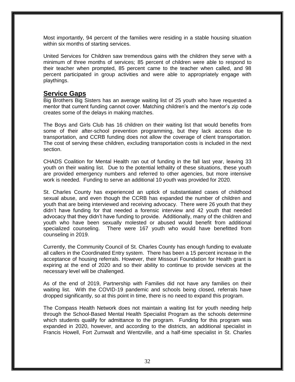Most importantly, 94 percent of the families were residing in a stable housing situation within six months of starting services.

United Services for Children saw tremendous gains with the children they serve with a minimum of three months of services; 85 percent of children were able to respond to their teacher when prompted, 85 percent came to the teacher when called, and 98 percent participated in group activities and were able to appropriately engage with playthings.

### **Service Gaps**

Big Brothers Big Sisters has an average waiting list of 25 youth who have requested a mentor that current funding cannot cover. Matching children's and the mentor's zip code creates some of the delays in making matches.

The Boys and Girls Club has 16 children on their waiting list that would benefits from some of their after-school prevention programming, but they lack access due to transportation, and CCRB funding does not allow the coverage of client transportation. The cost of serving these children, excluding transportation costs is included in the next section.

CHADS Coalition for Mental Health ran out of funding in the fall last year, leaving 33 youth on their waiting list. Due to the potential lethality of these situations, these youth are provided emergency numbers and referred to other agencies, but more intensive work is needed. Funding to serve an additional 10 youth was provided for 2020.

St. Charles County has experienced an uptick of substantiated cases of childhood sexual abuse, and even though the CCRB has expanded the number of children and youth that are being interviewed and receiving advocacy. There were 26 youth that they didn't have funding for that needed a forensic interview and 42 youth that needed advocacy that they didn't have funding to provide. Additionally, many of the children and youth who have been sexually molested or abused would benefit from additional specialized counseling. There were 167 youth who would have benefitted from counseling in 2019.

Currently, the Community Council of St. Charles County has enough funding to evaluate all callers in the Coordinated Entry system. There has been a 15 percent increase in the acceptance of housing referrals. However, their Missouri Foundation for Health grant is expiring at the end of 2020 and so their ability to continue to provide services at the necessary level will be challenged.

As of the end of 2019, Partnership with Families did not have any families on their waiting list. With the COVID-19 pandemic and schools being closed, referrals have dropped significantly, so at this point in time, there is no need to expand this program.

The Compass Health Network does not maintain a waiting list for youth needing help through the School-Based Mental Health Specialist Program as the schools determine which students qualify for admittance to the program. Funding for this program was expanded in 2020, however, and according to the districts, an additional specialist in Francis Howell, Fort Zumwalt and Wentzville, and a half-time specialist in St. Charles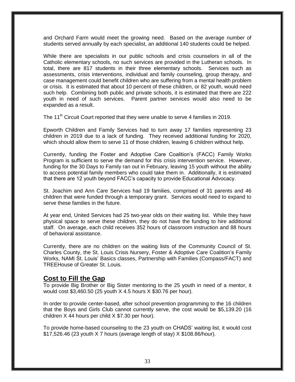and Orchard Farm would meet the growing need. Based on the average number of students served annually by each specialist, an additional 140 students could be helped.

While there are specialists in our public schools and crisis counselors in all of the Catholic elementary schools, no such services are provided in the Lutheran schools. In total, there are 817 students in their three elementary schools. Services such as assessments, crisis interventions, individual and family counseling, group therapy, and case management could benefit children who are suffering from a mental health problem or crisis. It is estimated that about 10 percent of these children, or 82 youth, would need such help. Combining both public and private schools, it is estimated that there are 222 youth in need of such services. Parent partner services would also need to be expanded as a result.

The 11<sup>th</sup> Circuit Court reported that they were unable to serve 4 families in 2019.

Epworth Children and Family Services had to turn away 17 families representing 23 children in 2019 due to a lack of funding. They received additional funding for 2020, which should allow them to serve 11 of those children, leaving 6 children without help.

Currently, funding the Foster and Adoptive Care Coalition's (FACC) Family Works Program is sufficient to serve the demand for this crisis intervention service. However, funding for the 30 Days to Family ran out in February, leaving 15 youth without the ability to access potential family members who could take them in. Additionally, it is estimated that there are 12 youth beyond FACC's capacity to provide Educational Advocacy.

St. Joachim and Ann Care Services had 19 families, comprised of 31 parents and 46 children that were funded through a temporary grant. Services would need to expand to serve these families in the future.

At year end, United Services had 25 two-year olds on their waiting list. While they have physical space to serve these children, they do not have the funding to hire additional staff. On average, each child receives 352 hours of classroom instruction and 88 hours of behavioral assistance.

Currently, there are no children on the waiting lists of the Community Council of St. Charles County, the St. Louis Crisis Nursery, Foster & Adoptive Care Coalition's Family Works, NAMI St. Louis' Basics classes, Partnership with Families (Compass/FACT) and TREEHouse of Greater St. Louis.

#### **Cost to Fill the Gap**

To provide Big Brother or Big Sister mentoring to the 25 youth in need of a mentor, it would cost \$3,460.50 (25 youth X 4.5 hours X \$30.76 per hour).

In order to provide center-based, after school prevention programming to the 16 children that the Boys and Girls Club cannot currently serve, the cost would be \$5,139.20 (16 children X 44 hours per child X \$7.30 per hour).

To provide home-based counseling to the 23 youth on CHADS' waiting list, it would cost \$17,526.46 (23 youth X 7 hours (average length of stay) X \$108.86/hour).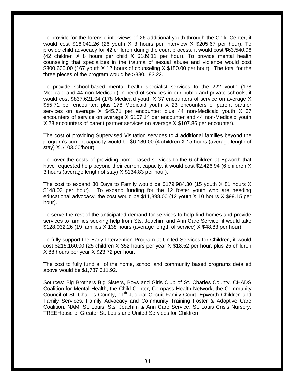To provide for the forensic interviews of 26 additional youth through the Child Center, it would cost \$16,042.26 (26 youth X 3 hours per interview X \$205.67 per hour). To provide child advocacy for 42 children during the court process, it would cost \$63,540.96 (42 children X 8 hours per child X \$189.11 per hour). To provide mental health counseling that specializes in the trauma of sexual abuse and violence would cost \$300,600.00 (167 youth X 12 hours of counseling X \$150.00 per hour). The total for the three pieces of the program would be \$380,183.22.

To provide school-based mental health specialist services to the 222 youth (178 Medicaid and 44 non-Medicaid) in need of services in our public and private schools, it would cost \$837,621.04 (178 Medicaid youth X 37 encounters of service on average X \$55.71 per encounter; plus 178 Medicaid youth X 23 encounters of parent partner services on average X \$45.71 per encounter; plus 44 non-Medicaid youth X 37 encounters of service on average X \$107.14 per encounter and 44 non-Medicaid youth X 23 encounters of parent partner services on average X \$107.86 per encounter).

The cost of providing Supervised Visitation services to 4 additional families beyond the program's current capacity would be \$6,180.00 (4 children X 15 hours (average length of stay) X \$103.00/hour).

To cover the costs of providing home-based services to the 6 children at Epworth that have requested help beyond their current capacity, it would cost \$2,426.94 (6 children X 3 hours (average length of stay) X \$134.83 per hour).

The cost to expand 30 Days to Family would be \$179,984.30 (15 youth X 81 hours X \$148.02 per hour). To expand funding for the 12 foster youth who are needing educational advocacy, the cost would be \$11,898.00 (12 youth X 10 hours X \$99.15 per hour).

To serve the rest of the anticipated demand for services to help find homes and provide services to families seeking help from Sts. Joachim and Ann Care Service, it would take \$128,032.26 (19 families X 138 hours (average length of service) X \$48.83 per hour).

To fully support the Early Intervention Program at United Services for Children, it would cost \$215,160.00 (25 children X 352 hours per year X \$18.52 per hour, plus 25 children X 88 hours per year X \$23.72 per hour.

The cost to fully fund all of the home, school and community based programs detailed above would be \$1,787,611.92.

Sources: Big Brothers Big Sisters, Boys and Girls Club of St. Charles County, CHADS Coalition for Mental Health, the Child Center, Compass Health Network, the Community Council of St. Charles County, 11<sup>th</sup> Judicial Circuit Family Court, Epworth Children and Family Services, Family Advocacy and Community Training Foster & Adoptive Care Coalition, NAMI St. Louis, Sts. Joachim & Ann Care Service, St. Louis Crisis Nursery, TREEHouse of Greater St. Louis and United Services for Children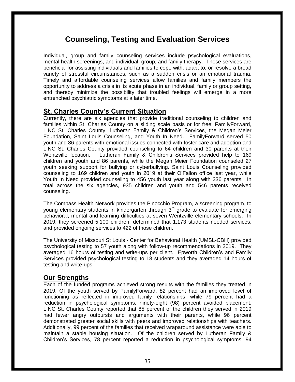## **Counseling, Testing and Evaluation Services**

Individual, group and family counseling services include psychological evaluations, mental health screenings, and individual, group, and family therapy. These services are beneficial for assisting individuals and families to cope with, adapt to, or resolve a broad variety of stressful circumstances, such as a sudden crisis or an emotional trauma. Timely and affordable counseling services allow families and family members the opportunity to address a crisis in its acute phase in an individual, family or group setting, and thereby minimize the possibility that troubled feelings will emerge in a more entrenched psychiatric symptoms at a later time.

### **St. Charles County's Current Situation**

Currently, there are six agencies that provide traditional counseling to children and families within St. Charles County on a sliding scale basis or for free: FamilyForward, LINC St. Charles County, Lutheran Family & Children's Services, the Megan Meier Foundation, Saint Louis Counseling, and Youth In Need. FamilyForward served 50 youth and 86 parents with emotional issues connected with foster care and adoption and LINC St. Charles County provided counseling to 64 children and 30 parents at their Wentzville location. Lutheran Family & Children's Services provided help to 169 children and youth and 86 parents, while the Megan Meier Foundation counseled 27 youth seeking support for bullying or cyberbullying. Saint Louis Counseling provided counseling to 169 children and youth in 2019 at their O'Fallon office last year, while Youth In Need provided counseling to 456 youth last year along with 336 parents. In total across the six agencies, 935 children and youth and 546 parents received counseling.

The Compass Health Network provides the Pinocchio Program, a screening program, to young elementary students in kindergarten through  $3<sup>rd</sup>$  grade to evaluate for emerging behavioral, mental and learning difficulties at seven Wentzville elementary schools. In 2019, they screened 5,100 children, determined that 1,173 students needed services, and provided ongoing services to 422 of those children.

The University of Missouri St Louis - Center for Behavioral Health (UMSL-CBH) provided psychological testing to 57 youth along with follow-up recommendations in 2019. They averaged 16 hours of testing and write-ups per client. Epworth Children's and Family Services provided psychological testing to 18 students and they averaged 14 hours of testing and write-ups.

### **Our Strengths**

Each of the funded programs achieved strong results with the families they treated in 2019. Of the youth served by FamilyForward, 82 percent had an improved level of functioning as reflected in improved family relationships, while 79 percent had a reduction in psychological symptoms; ninety-eight (98) percent avoided placement. LINC St. Charles County reported that 85 percent of the children they served in 2019 had fewer angry outbursts and arguments with their parents, while 96 percent demonstrated greater social skills with peers and improved relationships with teachers. Additionally, 99 percent of the families that received wraparound assistance were able to maintain a stable housing situation. Of the children served by Lutheran Family & Children's Services, 78 percent reported a reduction in psychological symptoms; 94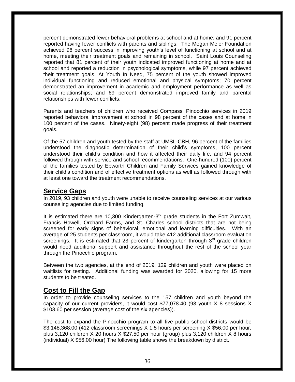percent demonstrated fewer behavioral problems at school and at home; and 91 percent reported having fewer conflicts with parents and siblings. The Megan Meier Foundation achieved 96 percent success in improving youth's level of functioning at school and at home, meeting their treatment goals and remaining in school. Saint Louis Counseling reported that 81 percent of their youth indicated improved functioning at home and at school and reported a reduction in psychological symptoms, while 97 percent achieved their treatment goals. At Youth In Need, 75 percent of the youth showed improved individual functioning and reduced emotional and physical symptoms; 70 percent demonstrated an improvement in academic and employment performance as well as social relationships; and 69 percent demonstrated improved family and parental relationships with fewer conflicts.

Parents and teachers of children who received Compass' Pinocchio services in 2019 reported behavioral improvement at school in 98 percent of the cases and at home in 100 percent of the cases. Ninety-eight (98) percent made progress of their treatment goals.

Of the 57 children and youth tested by the staff at UMSL-CBH, 96 percent of the families understood the diagnostic determination of their child's symptoms, 100 percent understood their child's condition and how it affected their daily life, and 94 percent followed through with service and school recommendations. One-hundred (100) percent of the families tested by Epworth Children and Family Services gained knowledge of their child's condition and of effective treatment options as well as followed through with at least one toward the treatment recommendations.

#### **Service Gaps**

In 2019, 93 children and youth were unable to receive counseling services at our various counseling agencies due to limited funding.

It is estimated there are 10,300 Kindergarten-3 $<sup>rd</sup>$  grade students in the Fort Zumwalt,</sup> Francis Howell, Orchard Farms, and St. Charles school districts that are not being screened for early signs of behavioral, emotional and learning difficulties. With an average of 25 students per classroom, it would take 412 additional classroom evaluation screenings. It is estimated that 23 percent of kindergarten through  $3<sup>rd</sup>$  grade children would need additional support and assistance throughout the rest of the school year through the Pinocchio program.

Between the two agencies, at the end of 2019, 129 children and youth were placed on waitlists for testing. Additional funding was awarded for 2020, allowing for 15 more students to be treated.

### **Cost to Fill the Gap**

In order to provide counseling services to the 157 children and youth beyond the capacity of our current providers, it would cost \$77,078.40 (93 youth X 8 sessions X \$103.60 per session (average cost of the six agencies)).

The cost to expand the Pinocchio program to all five public school districts would be \$3,148,368.00 (412 classroom screenings X 1.5 hours per screening X \$56.00 per hour, plus 3,120 children X 20 hours X \$27.50 per hour (group) plus 3,120 children X 8 hours (individual) X \$56.00 hour) The following table shows the breakdown by district.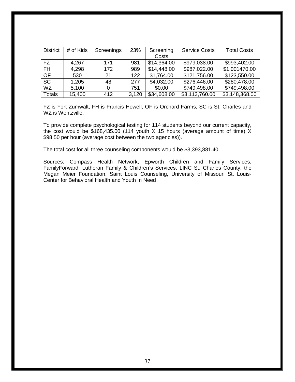| <b>District</b> | # of Kids | Screenings | 23%   | Screening   | <b>Service Costs</b> | <b>Total Costs</b> |
|-----------------|-----------|------------|-------|-------------|----------------------|--------------------|
|                 |           |            |       | Costs       |                      |                    |
| FZ.             | 4,267     | 171        | 981   | \$14,364.00 | \$979,038.00         | \$993,402.00       |
| <b>FH</b>       | 4,298     | 172        | 989   | \$14,448.00 | \$987,022.00         | \$1,001470.00      |
| OF              | 530       | 21         | 122   | \$1,764.00  | \$121,756.00         | \$123,550.00       |
| <b>SC</b>       | 1,205     | 48         | 277   | \$4,032.00  | \$276,446.00         | \$280,478.00       |
| <b>WZ</b>       | 5,100     |            | 751   | \$0.00      | \$749,498.00         | \$749,498.00       |
| Totals          | 15,400    | 412        | 3,120 | \$34,608.00 | \$3,113,760.00       | \$3,148,368.00     |

FZ is Fort Zumwalt, FH is Francis Howell, OF is Orchard Farms, SC is St. Charles and WZ is Wentzville.

To provide complete psychological testing for 114 students beyond our current capacity, the cost would be \$168,435.00 (114 youth X 15 hours (average amount of time) X \$98.50 per hour (average cost between the two agencies)).

The total cost for all three counseling components would be \$3,393,881.40.

Sources: Compass Health Network, Epworth Children and Family Services, FamilyForward, Lutheran Family & Children's Services, LINC St. Charles County, the Megan Meier Foundation, Saint Louis Counseling, University of Missouri St. Louis-Center for Behavioral Health and Youth In Need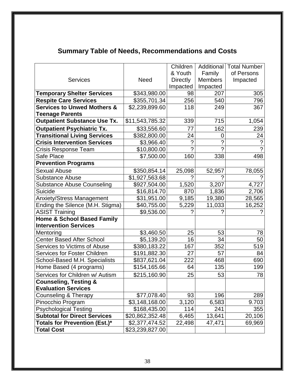# **Summary Table of Needs, Recommendations and Costs**

|                                        |                 | Children        | Additional           | <b>Total Number</b> |
|----------------------------------------|-----------------|-----------------|----------------------|---------------------|
|                                        |                 | & Youth         | Family               | of Persons          |
| <b>Services</b>                        | <b>Need</b>     | <b>Directly</b> | <b>Members</b>       | Impacted            |
|                                        |                 | Impacted        | Impacted             |                     |
| <b>Temporary Shelter Services</b>      | \$343,980.00    | 98              | 207                  | 305                 |
| <b>Respite Care Services</b>           | \$355,701.34    | 256             | 540                  | 796                 |
| <b>Services to Unwed Mothers &amp;</b> | \$2,239,899.60  | 118             | 249                  | 367                 |
| <b>Teenage Parents</b>                 |                 |                 |                      |                     |
| <b>Outpatient Substance Use Tx.</b>    | \$11,543,785.32 | 339             | 715                  | 1,054               |
| <b>Outpatient Psychiatric Tx.</b>      | \$33,556.60     | 77              | 162                  | 239                 |
| <b>Transitional Living Services</b>    | \$382,800.00    | 24              | 0                    | 24                  |
| <b>Crisis Intervention Services</b>    | \$3,966.40      | $\ddot{?}$      | $\ddot{\phantom{0}}$ | $\overline{\cdot}$  |
| Crisis Response Team                   | \$10,800.00     | 2               | $\mathcal{P}$        | $\gamma$            |
| Safe Place                             | \$7,500.00      | 160             | 338                  | 498                 |
| <b>Prevention Programs</b>             |                 |                 |                      |                     |
| <b>Sexual Abuse</b>                    | \$350,854.14    | 25,098          | 52,957               | 78,055              |
| <b>Substance Abuse</b>                 | \$1,927,563.68  | 2               |                      |                     |
| <b>Substance Abuse Counseling</b>      | \$927,504.00    | 1,520           | 3,207                | 4,727               |
| Suicide                                | \$16,814.70     | 870             | 1,836                | 2,706               |
| <b>Anxiety/Stress Management</b>       | \$31,951.00     | 9,185           | 19,380               | 28,565              |
| Ending the Silence (M.H. Stigma)       | \$40,755.00     | 5,229           | 11,033               | 16,252              |
| <b>ASIST Training</b>                  | \$9,536.00      | 2               |                      |                     |
| <b>Home &amp; School Based Family</b>  |                 |                 |                      |                     |
| <b>Intervention Services</b>           |                 |                 |                      |                     |
| Mentoring                              | \$3,460.50      | 25              | 53                   | 78                  |
| <b>Center Based After School</b>       | \$5,139.20      | 16              | 34                   | 50                  |
| Services to Victims of Abuse           | \$380,183.22    | 167             | 352                  | 519                 |
| <b>Services for Foster Children</b>    | \$191,882.30    | 27              | 57                   | 84                  |
| School-Based M.H. Specialists          | \$837,621.04    | 222             | 468                  | 690                 |
| Home Based (4 programs)                | \$154,165.66    | 64              | 135                  | 199                 |
| Services for Children w/ Autism        | \$215,160.90    | 25              | 53                   | 78                  |
| <b>Counseling, Testing &amp;</b>       |                 |                 |                      |                     |
| <b>Evaluation Services</b>             |                 |                 |                      |                     |
| <b>Counseling &amp; Therapy</b>        | \$77,078.40     | 93              | 196                  | 289                 |
| Pinocchio Program                      | \$3,148,168.00  | 3,120           | 6,583                | 9.703               |
| <b>Psychological Testing</b>           | \$168,435.00    | 114             | 241                  | 355                 |
| <b>Subtotal for Direct Services</b>    | \$20,862,352.48 | 6,465           | 13,641               | 20,106              |
| Totals for Prevention (Est.)*          | \$2,377,474.52  | 22,498          | 47,471               | 69,969              |
| <b>Total Cost</b>                      | \$23,239,827.00 |                 |                      |                     |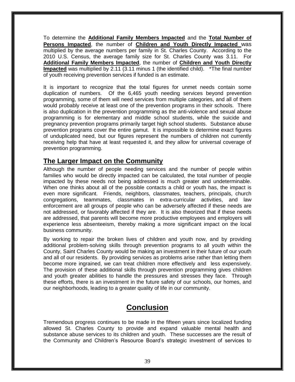To determine the **Additional Family Members Impacted** and the **Total Number of Persons Impacted**, the number of **Children and Youth Directly Impacted** was multiplied by the average numbers per family in St. Charles County. According to the 2010 U.S. Census, the average family size for St. Charles County was 3.11. For **Additional Family Members Impacted**, the number of **Children and Youth Directly Impacted** was multiplied by 2.11 (3.11 minus 1 (the identified child). \*The final number of youth receiving prevention services if funded is an estimate.

It is important to recognize that the total figures for unmet needs contain some duplication of numbers. Of the 6,465 youth needing services beyond prevention programming, some of them will need services from multiple categories, and all of them would probably receive at least one of the prevention programs in their schools. There is also duplication in the prevention programming as the anti-violence and sexual abuse programming is for elementary and middle school students, while the suicide and pregnancy prevention programs primarily target high school students. Substance abuse prevention programs cover the entire gamut. It is impossible to determine exact figures of unduplicated need, but our figures represent the numbers of children not currently receiving help that have at least requested it, and they allow for universal coverage of prevention programming.

### **The Larger Impact on the Community**

Although the number of people needing services and the number of people within families who would be directly impacted can be calculated, the total number of people impacted by these needs not being addressed is much greater and undeterminable. When one thinks about all of the possible contacts a child or youth has, the impact is even more significant. Friends, neighbors, classmates, teachers, principals, church congregations, teammates, classmates in extra-curricular activities, and law enforcement are all groups of people who can be adversely affected if these needs are not addressed, or favorably affected if they are. It is also theorized that if these needs are addressed, that parents will become more productive employees and employers will experience less absenteeism, thereby making a more significant impact on the local business community.

By working to repair the broken lives of children and youth now, and by providing additional problem-solving skills through prevention programs to all youth within the County, Saint Charles County would be making an investment in their future of our youth and all of our residents. By providing services as problems arise rather than letting them become more ingrained, we can treat children more effectively and less expensively. The provision of these additional skills through prevention programming gives children and youth greater abilities to handle the pressures and stresses they face. Through these efforts, there is an investment in the future safety of our schools, our homes, and our neighborhoods, leading to a greater quality of life in our community.

# **Conclusion**

Tremendous progress continues to be made in the fifteen years since localized funding allowed St. Charles County to provide and expand valuable mental health and substance abuse services to its children and youth. These successes are the result of the Community and Children's Resource Board's strategic investment of services to